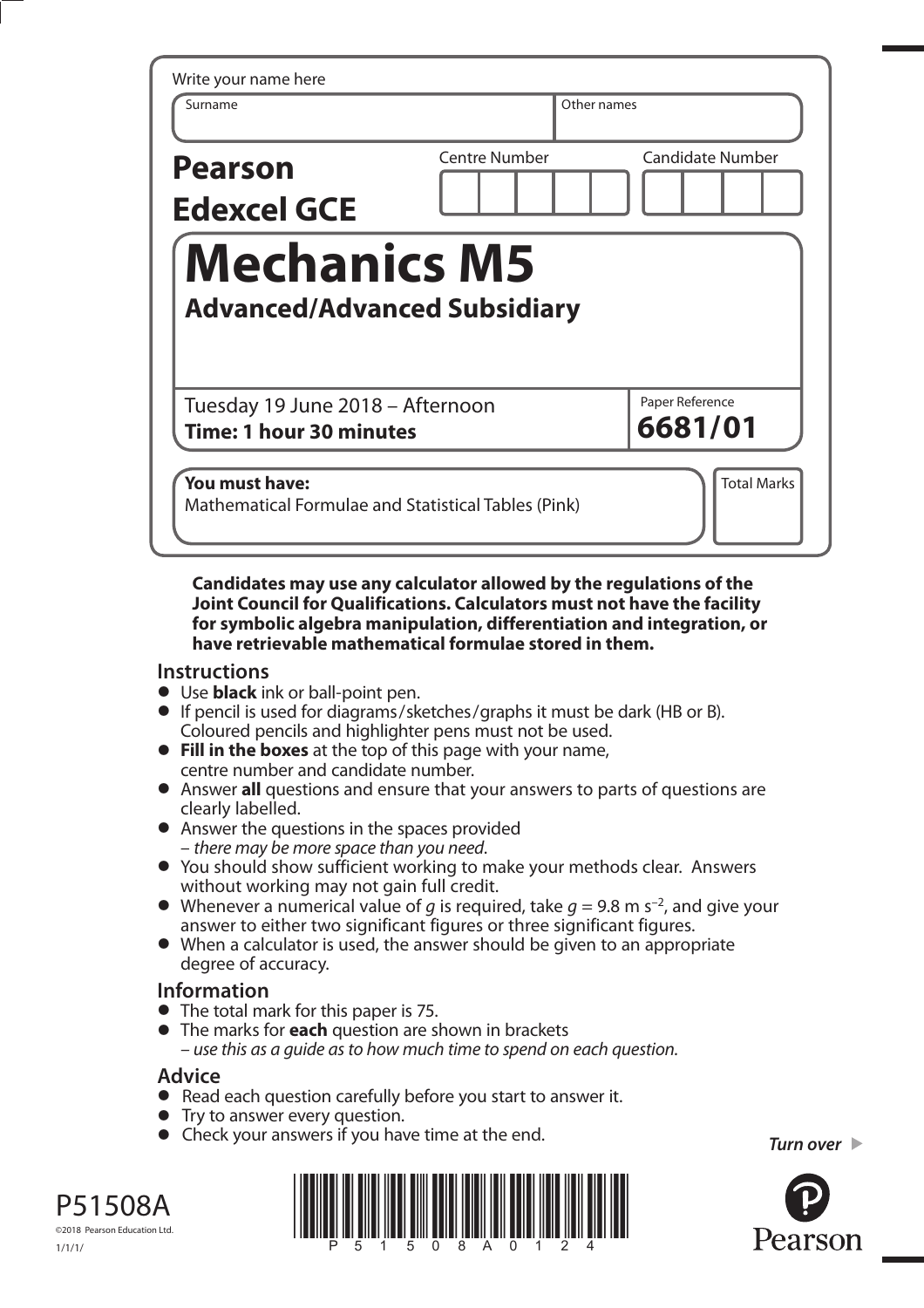| Surname                              | Other names                         |                         |
|--------------------------------------|-------------------------------------|-------------------------|
| <b>Pearson</b><br><b>Edexcel GCE</b> | <b>Centre Number</b>                | <b>Candidate Number</b> |
| <b>Mechanics M5</b>                  |                                     |                         |
|                                      | <b>Advanced/Advanced Subsidiary</b> |                         |

**Candidates may use any calculator allowed by the regulations of the Joint Council for Qualifications. Calculators must not have the facility for symbolic algebra manipulation, differentiation and integration, or have retrievable mathematical formulae stored in them.** 

# **Instructions**

- **•** Use **black** ink or ball-point pen.
- **•** If pencil is used for diagrams/sketches/graphs it must be dark (HB or B). Coloured pencils and highlighter pens must not be used. **• Fill in the boxes** at the top of this page with your name,
- centre number and candidate number. **•** Fill in the boxes at the top of this page with your name,<br>
centre number and candidate number.<br>
• Answer all questions and ensure that your answers to parts of questions are
- clearly labelled.
- **•** Answer the questions in the spaces provided – there may be more space than you need.
- **•** You should show sufficient working to make your methods clear. Answers without working may not gain full credit.
- Whenever a numerical value of q is required, take  $q = 9.8$  m s<sup>-2</sup>, and give your answer to either two significant figures or three significant figures. **•** When a calculator is used, the answer should be given to an appropriate
- degree of accuracy.

# **Information**

- **•** The total mark for this paper is 75.
- **•** The marks for **each** question are shown in brackets – use this as a guide as to how much time to spend on each question.

# **Advice**

©2018 Pearson Education Ltd.

1/1/1/

- **Advice**<br>● Read each question carefully before you start to answer it. • Read each question carefully<br>• Try to answer every question.
- 
- Try to answer every question.<br>• Check your answers if you have time at the end.

*Turn over* 



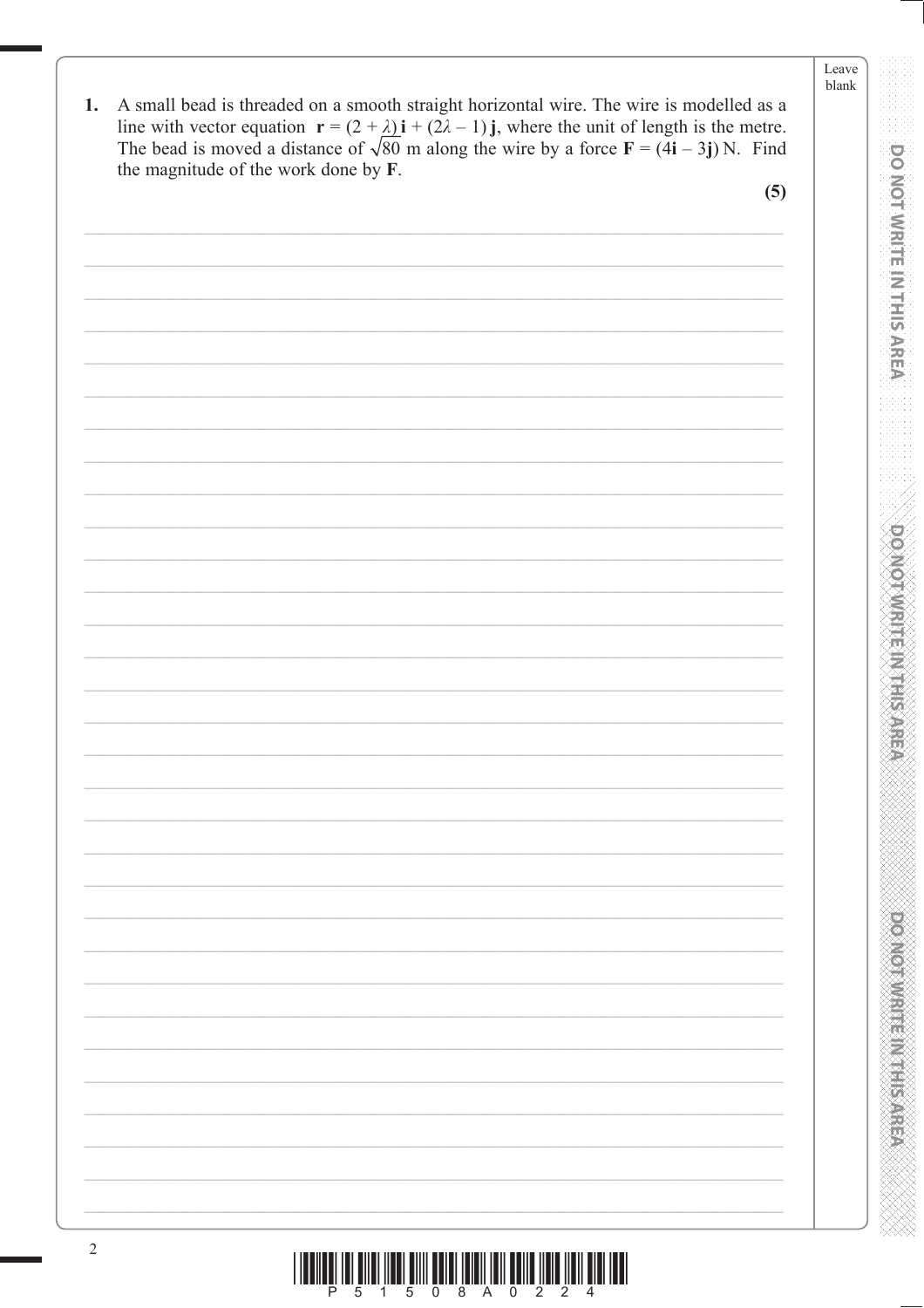**DO NOT IN THE INTERNATIONAL PRESENTATION CONSUMPTION CONSUMING A REPORT OF A REPORT OF A REPORT OF A REPORT OF A** 

**PONDOTAL MELTING STATE** 

EXXXXXXXXXXXXXXXXXXXXXXX

| 1. A small bead is threaded on a smooth straight horizontal wire. The wire is modelled as a                                          |
|--------------------------------------------------------------------------------------------------------------------------------------|
| line with vector equation $\mathbf{r} = (2 + \lambda)\mathbf{i} + (2\lambda - 1)\mathbf{j}$ , where the unit of length is the metre. |
| The bead is moved a distance of $\sqrt{80}$ m along the wire by a force $\mathbf{F} = (4\mathbf{i} - 3\mathbf{j})N$ . Find           |
| the magnitude of the work done by <b>F</b> .                                                                                         |

 $(5)$ 

| $\sqrt{2}$ |  |
|------------|--|
|            |  |
|            |  |
|            |  |
|            |  |
|            |  |
|            |  |
|            |  |
|            |  |
|            |  |
|            |  |
|            |  |
|            |  |
|            |  |
|            |  |
|            |  |
|            |  |
|            |  |
|            |  |
|            |  |
|            |  |
|            |  |
|            |  |
|            |  |
|            |  |
|            |  |
|            |  |
|            |  |
|            |  |
|            |  |
|            |  |
|            |  |
|            |  |
|            |  |
|            |  |
|            |  |
|            |  |
|            |  |
|            |  |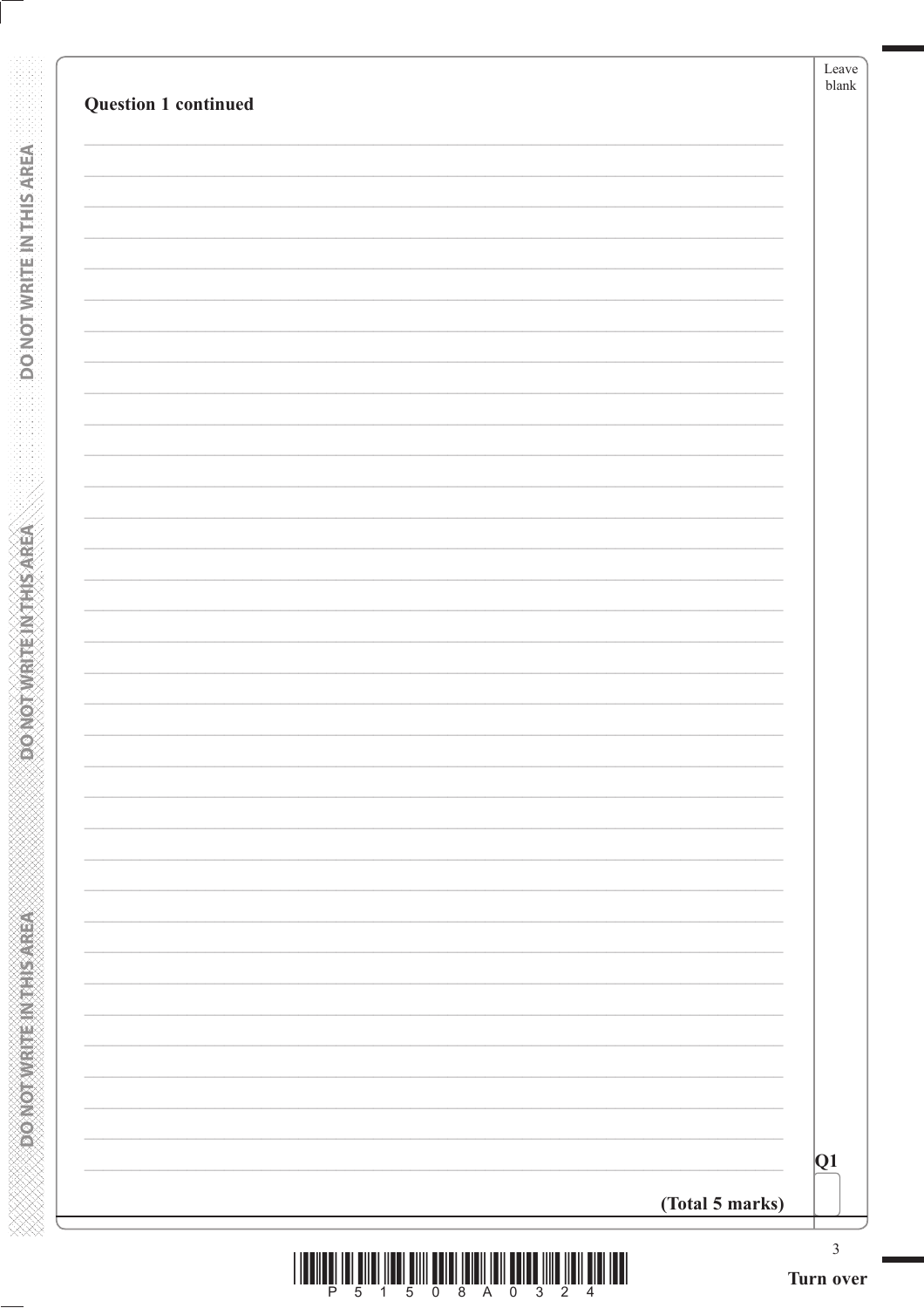| Question 1 continued |                 | Leave<br>blank              |
|----------------------|-----------------|-----------------------------|
|                      |                 |                             |
|                      |                 |                             |
|                      |                 |                             |
|                      |                 |                             |
|                      |                 |                             |
|                      |                 |                             |
|                      |                 |                             |
|                      |                 |                             |
|                      |                 |                             |
|                      |                 |                             |
|                      |                 |                             |
|                      |                 |                             |
|                      |                 |                             |
|                      |                 |                             |
|                      |                 |                             |
|                      |                 |                             |
|                      |                 |                             |
|                      |                 |                             |
|                      |                 |                             |
|                      |                 |                             |
|                      |                 |                             |
|                      |                 |                             |
|                      |                 |                             |
|                      |                 |                             |
|                      |                 |                             |
|                      |                 | Q1                          |
|                      | (Total 5 marks) |                             |
|                      |                 | $\mathfrak{Z}$<br>Turn over |

**CONCOMMENT IN THIS AREA** 

|  |  | 8 A O |  |  |  |
|--|--|-------|--|--|--|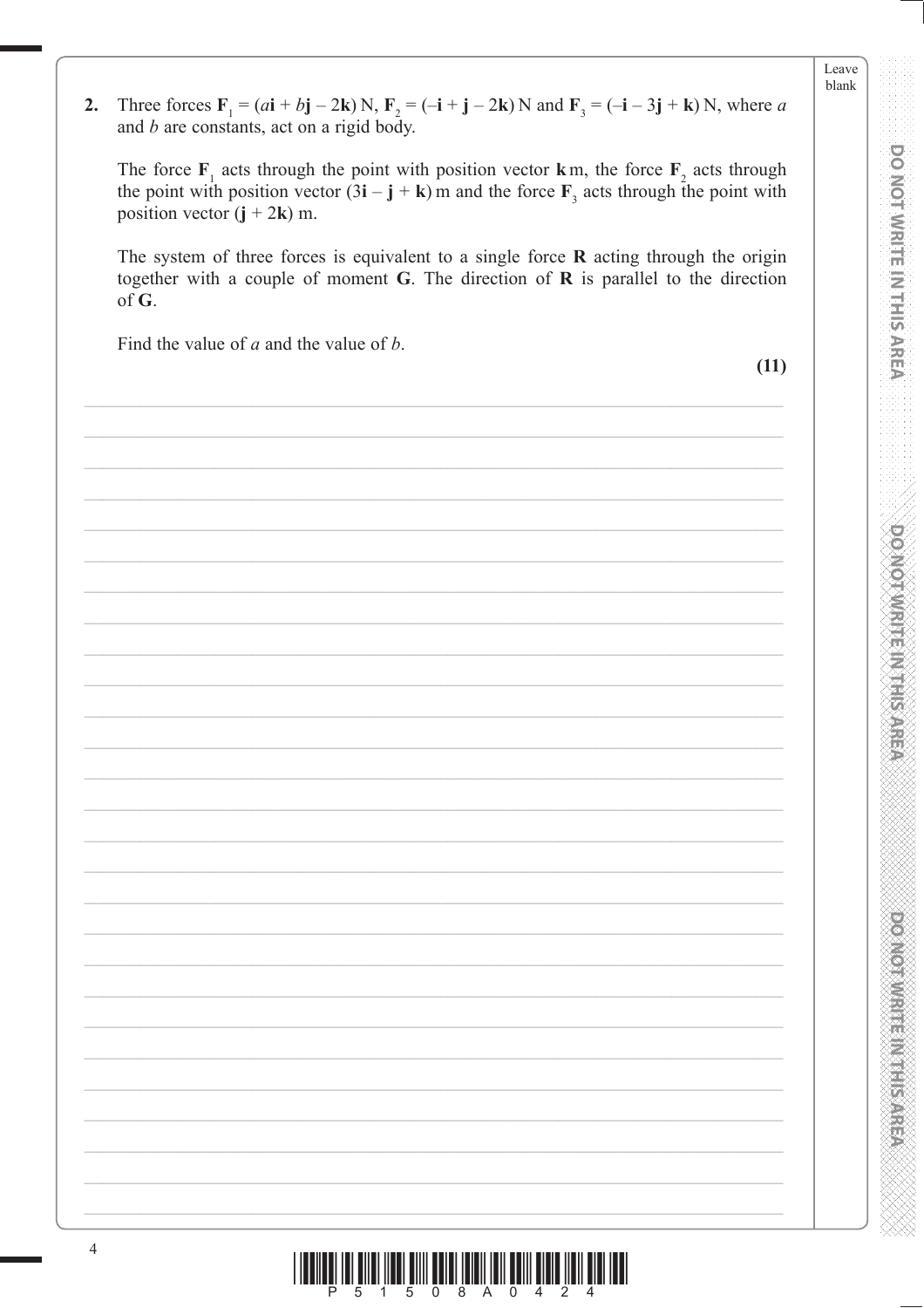DO NOT WRITE IN THIS AREA

**DO MOTAMRITE IN THIS AREA** 

**POSTER AND RESIDENCE** 

Three forces  $\mathbf{F}_1 = (a\mathbf{i} + b\mathbf{j} - 2\mathbf{k})N$ ,  $\mathbf{F}_2 = (-\mathbf{i} + \mathbf{j} - 2\mathbf{k})N$  and  $\mathbf{F}_3 = (-\mathbf{i} - 3\mathbf{j} + \mathbf{k})N$ , where a  $2.$ and  $b$  are constants, act on a rigid body.

The force  $F_1$  acts through the point with position vector k m, the force  $F_2$  acts through the point with position vector  $(3\mathbf{i} - \mathbf{j} + \mathbf{k})$  m and the force  $\mathbf{F}_3$  acts through the point with position vector  $(j + 2k)$  m.

The system of three forces is equivalent to a single force  $R$  acting through the origin together with a couple of moment  $G$ . The direction of  $R$  is parallel to the direction of  $G$ .

Find the value of  $a$  and the value of  $b$ .

 $(11)$ 

|  |  | <u> ITALIAN ILI BILANDI ILI BILANDI ILI BILANDI ILI BILANDI ILI ILI BILANDI ILI ILI BILANDI ILI BILANDI ILI BILAN</u> |
|--|--|-----------------------------------------------------------------------------------------------------------------------|
|  |  |                                                                                                                       |
|  |  |                                                                                                                       |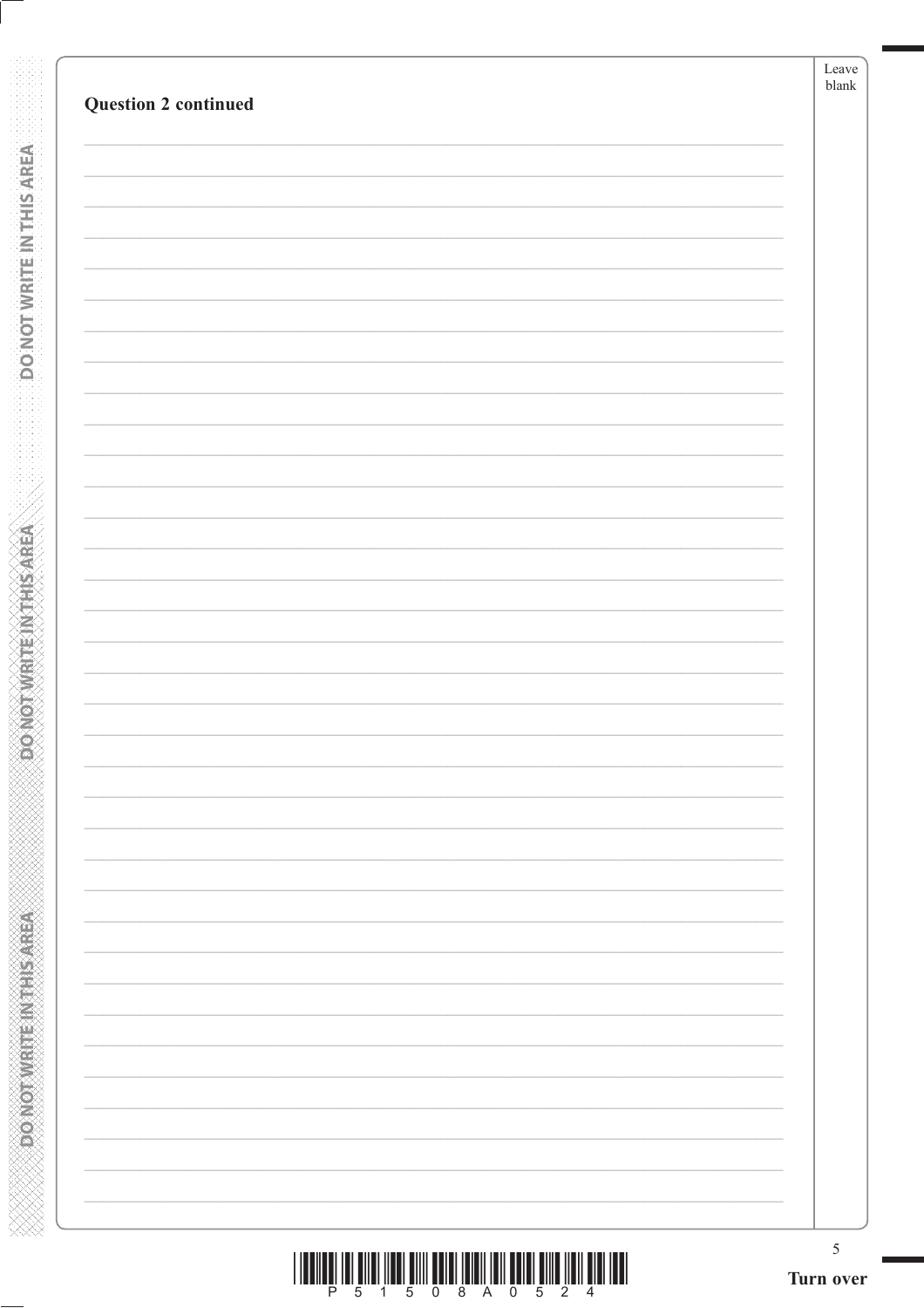| <b>Question 2 continued</b> | Leave<br>$_{\rm blank}$ |
|-----------------------------|-------------------------|
|                             |                         |
|                             |                         |
|                             |                         |
|                             |                         |
|                             |                         |
|                             |                         |
|                             |                         |
|                             |                         |
|                             |                         |
|                             |                         |
|                             |                         |
|                             |                         |
|                             |                         |
|                             |                         |
|                             |                         |
|                             |                         |
|                             |                         |
|                             |                         |
|                             |                         |
|                             |                         |
|                             |                         |
|                             |                         |
|                             |                         |
|                             |                         |
|                             |                         |
|                             |                         |
|                             |                         |
|                             |                         |
|                             |                         |
|                             |                         |
|                             |                         |
|                             |                         |
|                             |                         |
|                             |                         |
|                             |                         |

**DONOTWEITEINTHISAREA** 

**Example 2012 The Model of Action** 

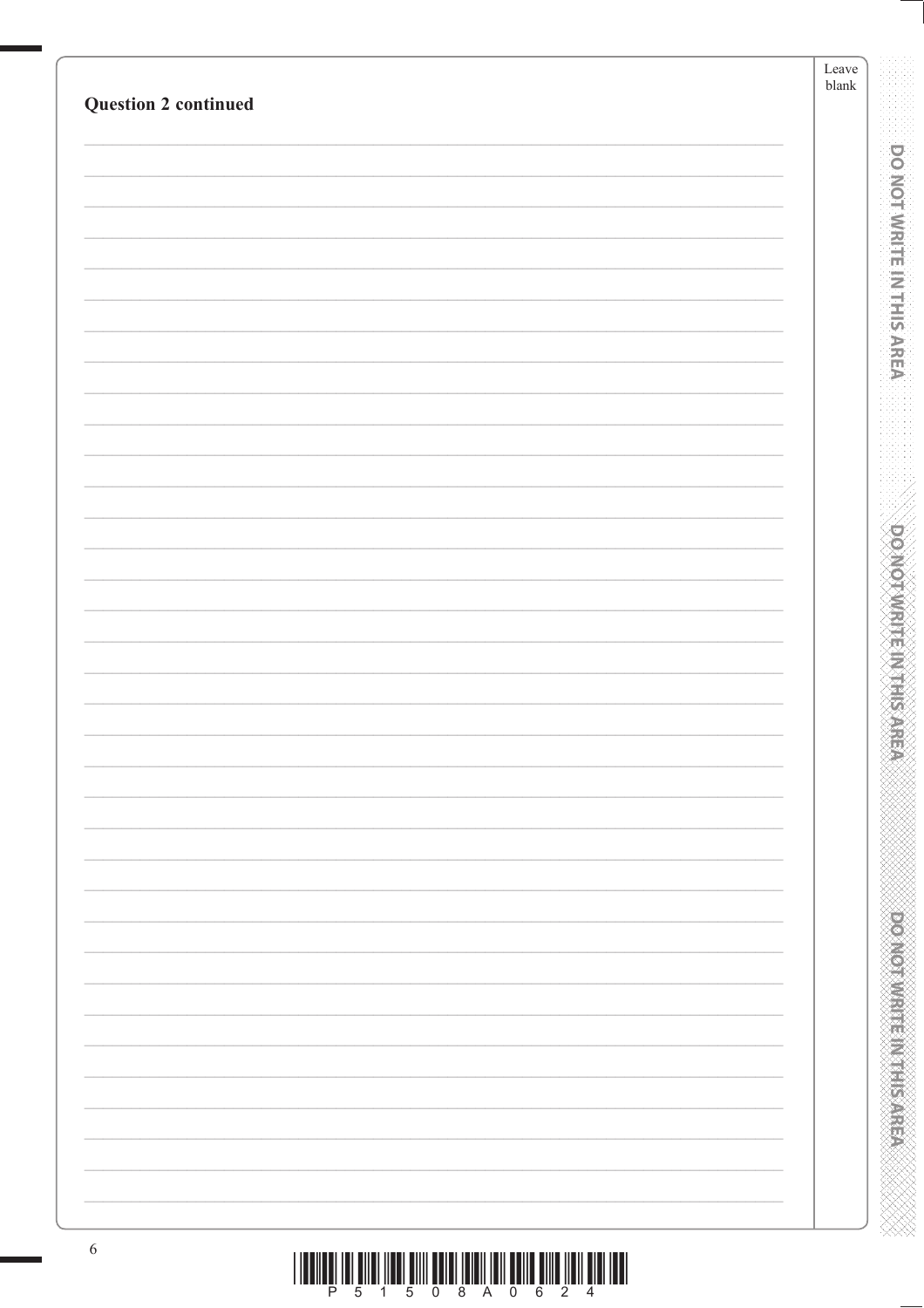| <b>Question 2 continued</b> | Leave<br>$\ensuremath{\textrm{blank}}$ |
|-----------------------------|----------------------------------------|
|                             |                                        |
|                             |                                        |
|                             |                                        |
|                             |                                        |
|                             |                                        |
|                             |                                        |
|                             |                                        |
|                             |                                        |
|                             |                                        |
|                             |                                        |
|                             |                                        |
|                             |                                        |
|                             |                                        |
|                             |                                        |
|                             |                                        |
|                             |                                        |
|                             |                                        |
|                             |                                        |
|                             |                                        |
|                             |                                        |
|                             |                                        |
|                             |                                        |
|                             |                                        |
|                             |                                        |
|                             |                                        |
|                             |                                        |
|                             |                                        |
|                             |                                        |
|                             |                                        |
|                             |                                        |
|                             |                                        |
|                             |                                        |
|                             |                                        |
|                             |                                        |
|                             |                                        |
|                             |                                        |
|                             |                                        |
|                             |                                        |
|                             |                                        |
|                             |                                        |
|                             |                                        |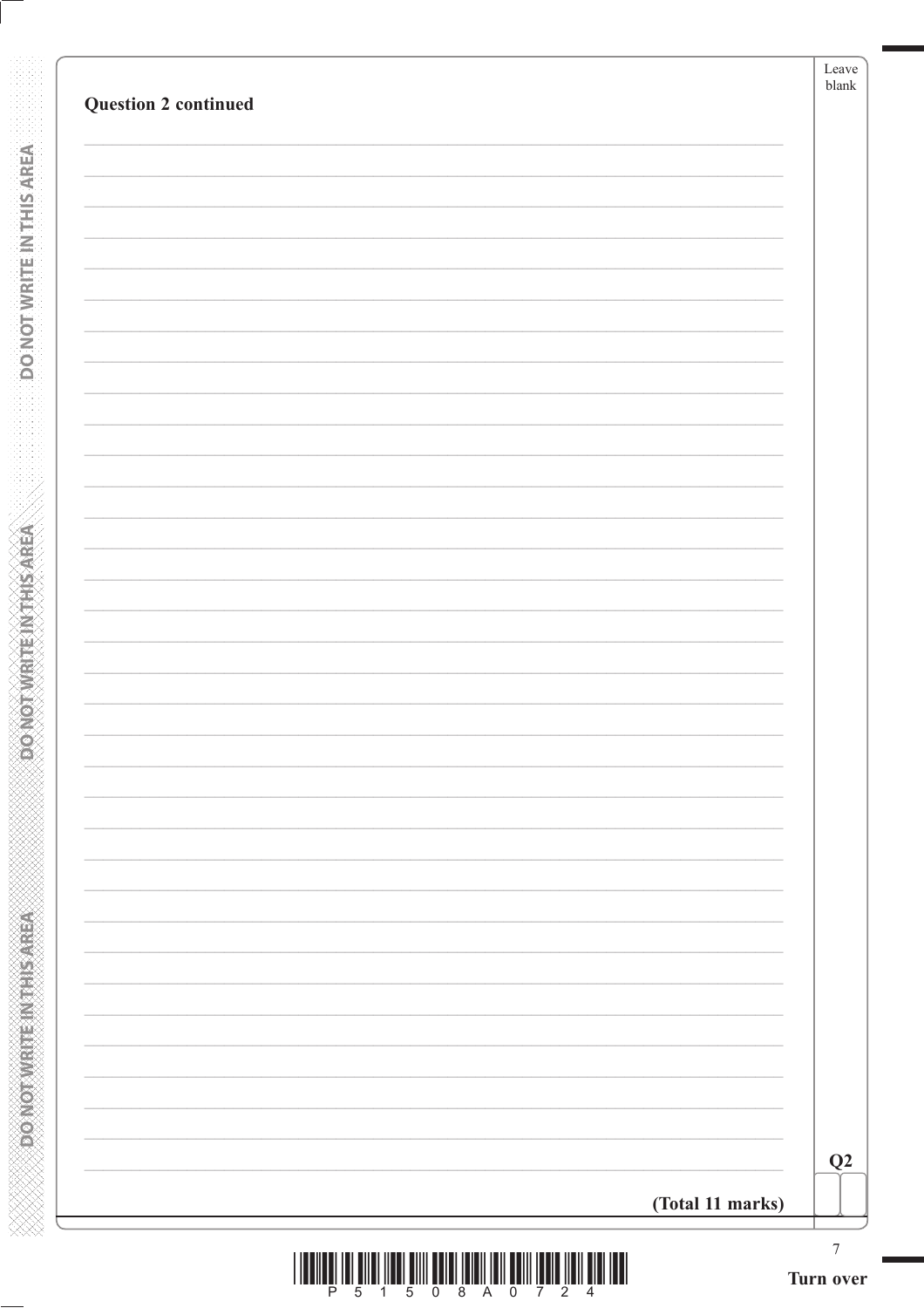| <b>Question 2 continued</b> |                  | Leave<br>$b$ lank |
|-----------------------------|------------------|-------------------|
|                             |                  |                   |
|                             |                  |                   |
|                             |                  |                   |
|                             |                  |                   |
|                             |                  |                   |
|                             |                  |                   |
|                             |                  |                   |
|                             |                  |                   |
|                             |                  |                   |
|                             |                  |                   |
|                             |                  |                   |
|                             |                  |                   |
|                             |                  |                   |
|                             |                  |                   |
|                             |                  |                   |
|                             |                  |                   |
|                             |                  |                   |
|                             |                  |                   |
|                             |                  |                   |
|                             |                  |                   |
|                             |                  |                   |
|                             |                  |                   |
|                             |                  |                   |
|                             |                  |                   |
|                             |                  |                   |
|                             |                  |                   |
|                             |                  |                   |
|                             |                  | Q2                |
|                             | (Total 11 marks) |                   |
|                             |                  | $\boldsymbol{7}$  |

**DONOTWEITEINTHISAREA** 

**DONOTWRITEINTHISAREA**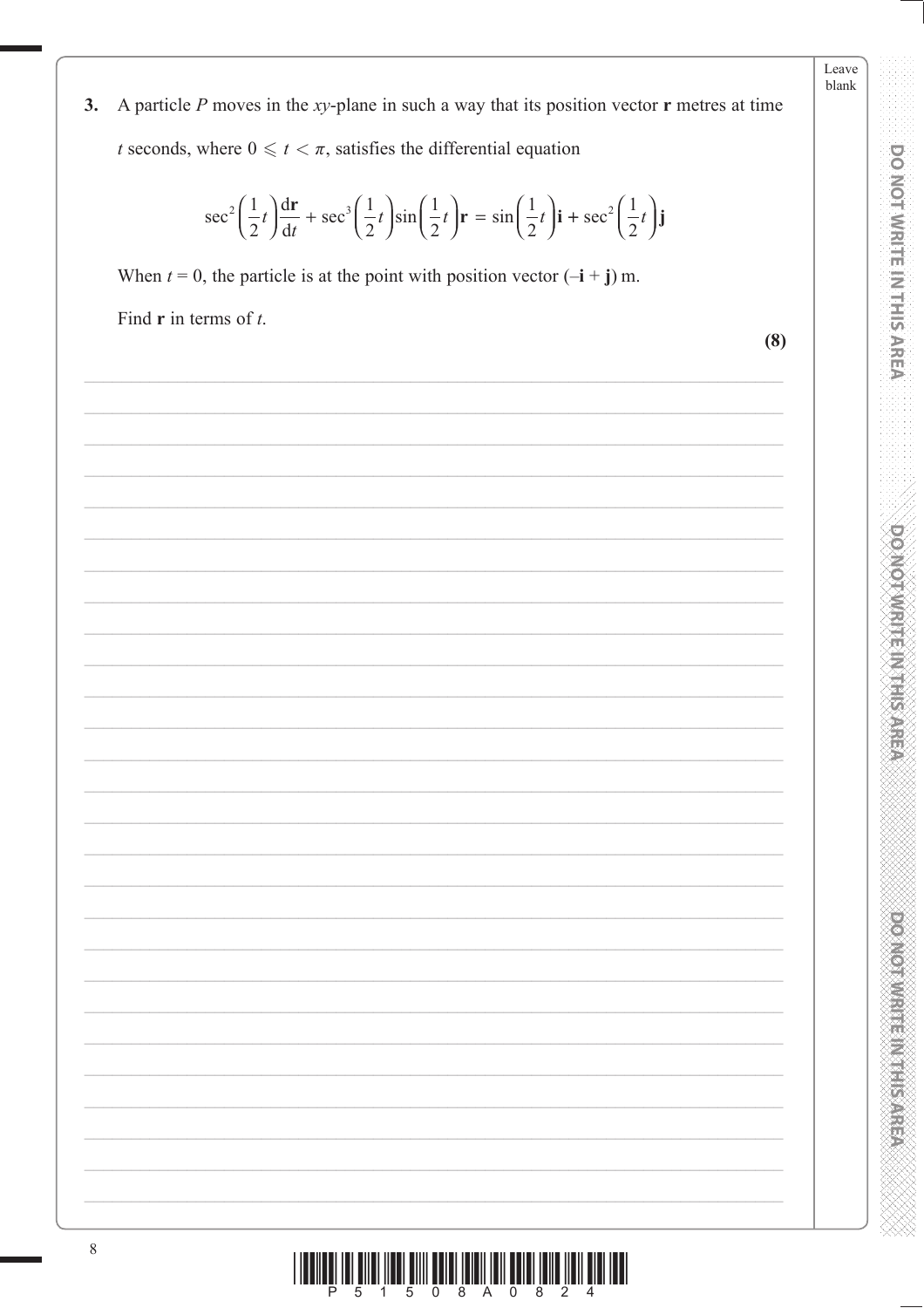A particle  $P$  moves in the xy-plane in such a way that its position vector  $\mathbf r$  metres at time  $3.$ *t* seconds, where  $0 \le t < \pi$ , satisfies the differential equation

$$
\sec^2\left(\frac{1}{2}t\right)\frac{d\mathbf{r}}{dt} + \sec^3\left(\frac{1}{2}t\right)\sin\left(\frac{1}{2}t\right)\mathbf{r} = \sin\left(\frac{1}{2}t\right)\mathbf{i} + \sec^2\left(\frac{1}{2}t\right)\mathbf{j}
$$

When  $t = 0$ , the particle is at the point with position vector  $(-i + j)$  m.

Find  $\bf{r}$  in terms of  $\bf{t}$ .

 $(8)$ 

Leave blank

**DO NOT WRITE IN THIS AREA** 

**DOMOTIVE IN HIS NEED** 

**DOMOTHMENT ENGINEER**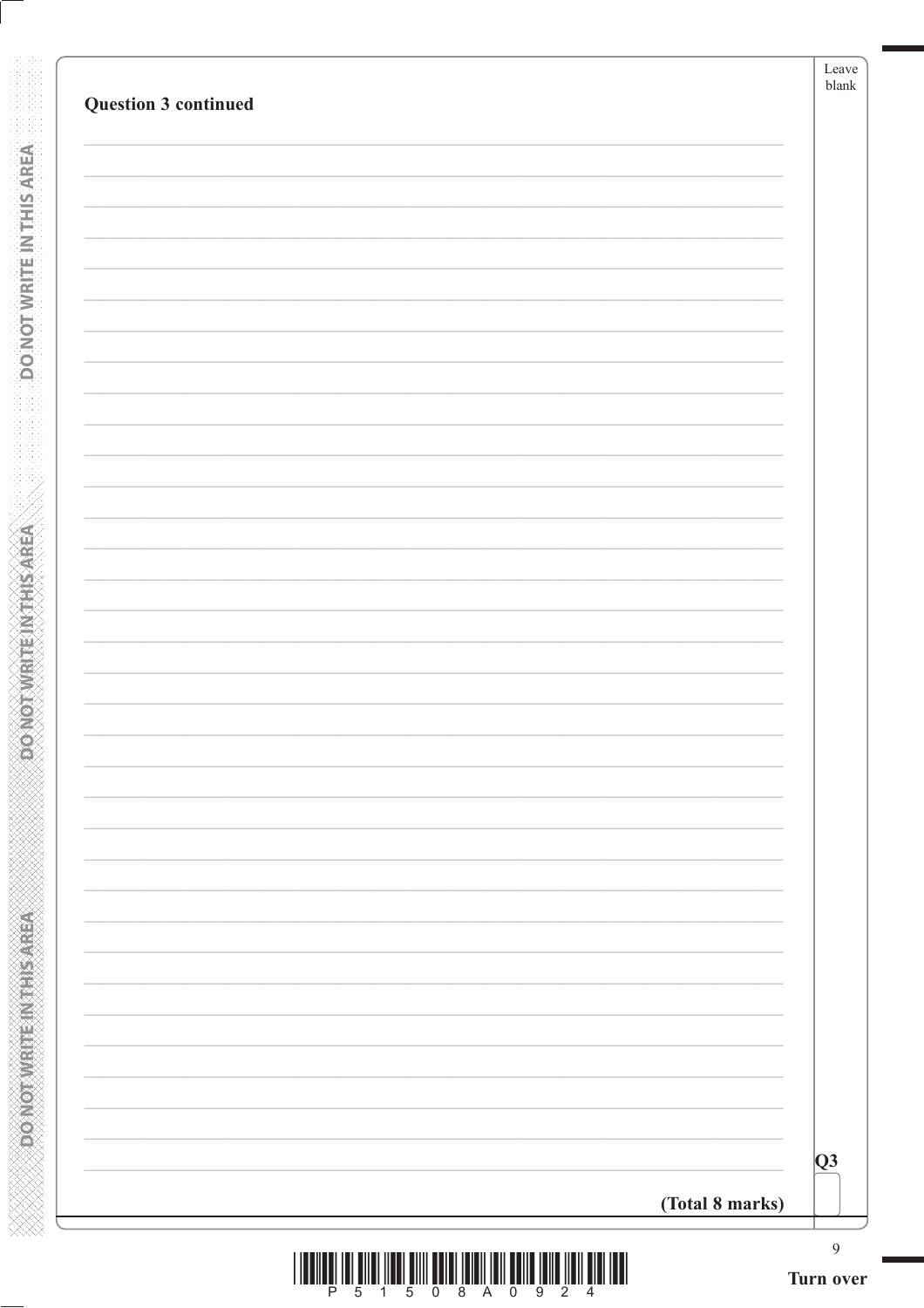| Question 3 continued |                 | Leave<br>blank                |
|----------------------|-----------------|-------------------------------|
|                      |                 |                               |
|                      |                 |                               |
|                      |                 |                               |
|                      |                 |                               |
|                      |                 |                               |
|                      |                 |                               |
|                      |                 |                               |
|                      |                 |                               |
|                      |                 |                               |
|                      |                 |                               |
|                      |                 |                               |
|                      |                 |                               |
|                      |                 |                               |
|                      |                 |                               |
|                      |                 |                               |
|                      |                 |                               |
|                      |                 |                               |
|                      |                 |                               |
|                      |                 |                               |
|                      |                 |                               |
|                      |                 |                               |
|                      |                 |                               |
|                      |                 |                               |
|                      |                 |                               |
|                      |                 |                               |
|                      |                 | Q3                            |
|                      | (Total 8 marks) |                               |
|                      |                 | $\boldsymbol{9}$<br>Turn over |

**REACTION CONTROLS AND SERVE AND DO NOT WRITE IN THIS AREA** 

**RENEWALK CONCORPORATION** 

| - 0 | -8. | A | $\overline{0}$ | -92 |  |  |
|-----|-----|---|----------------|-----|--|--|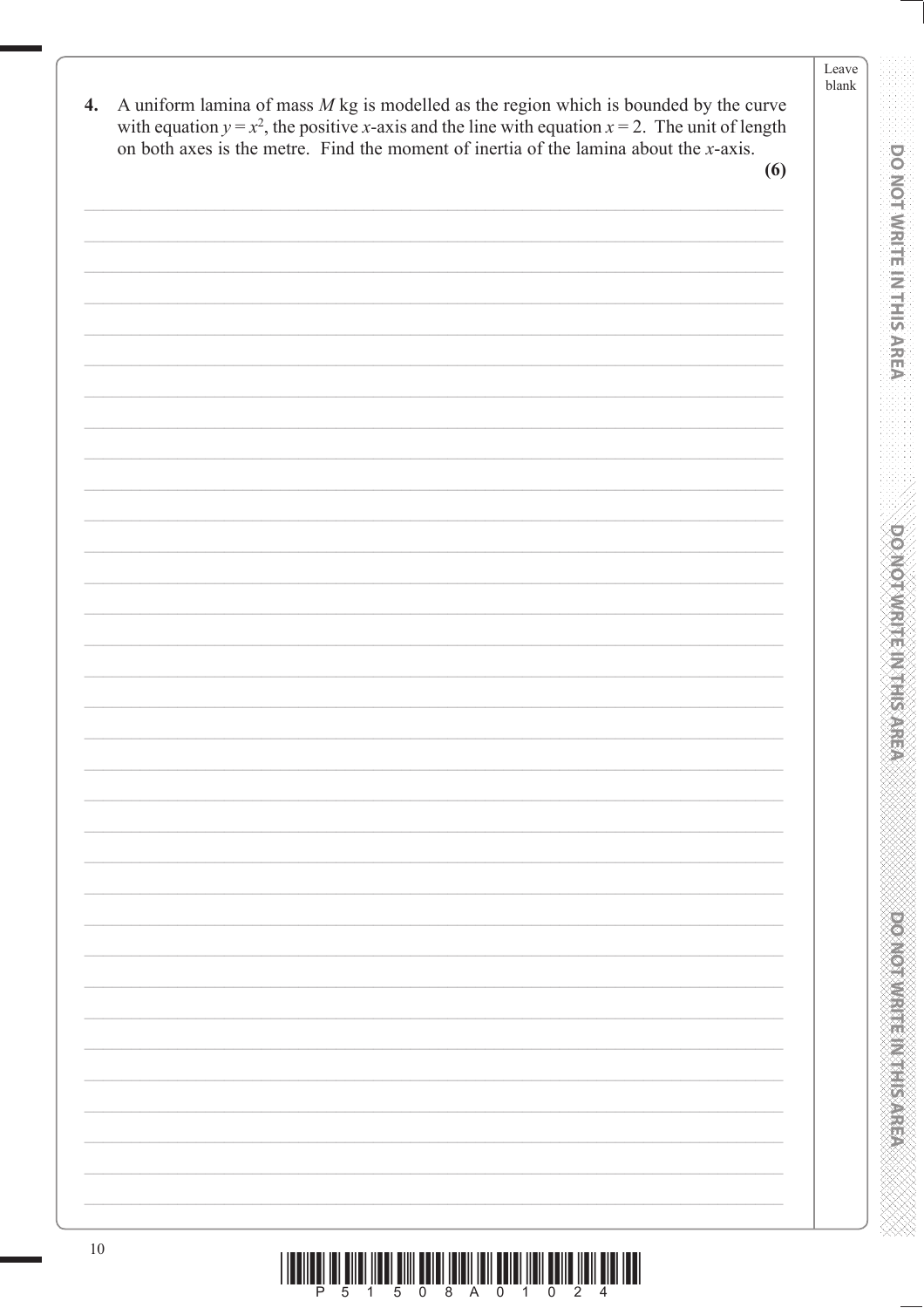A uniform lamina of mass  $M$  kg is modelled as the region which is bounded by the curve  $\boldsymbol{4}$ . with equation  $y = x^2$ , the positive x-axis and the line with equation  $x = 2$ . The unit of length on both axes is the metre. Find the moment of inertia of the lamina about the *x*-axis.

 $(6)$ 

| $10\,$ |                                                                                                                                                                                                                                                                                                                                                                                                                                                               |
|--------|---------------------------------------------------------------------------------------------------------------------------------------------------------------------------------------------------------------------------------------------------------------------------------------------------------------------------------------------------------------------------------------------------------------------------------------------------------------|
|        |                                                                                                                                                                                                                                                                                                                                                                                                                                                               |
|        | $\begin{array}{c} \text{if} \ \text{if} \ \text{if} \ \text{if} \ \text{if} \ \text{if} \ \text{if} \ \text{if} \ \text{if} \ \text{if} \ \text{if} \ \text{if} \ \text{if} \ \text{if} \ \text{if} \ \text{if} \ \text{if} \ \text{if} \ \text{if} \ \text{if} \ \text{if} \ \text{if} \ \text{if} \ \text{if} \ \text{if} \ \text{if} \ \text{if} \ \text{if} \ \text{if} \ \text{if} \ \text{if} \ \text{if} \ \text{if} \ \text{if} \ \text{if} \ \text{$ |

**DO NOT WRITE IN THIS AREA**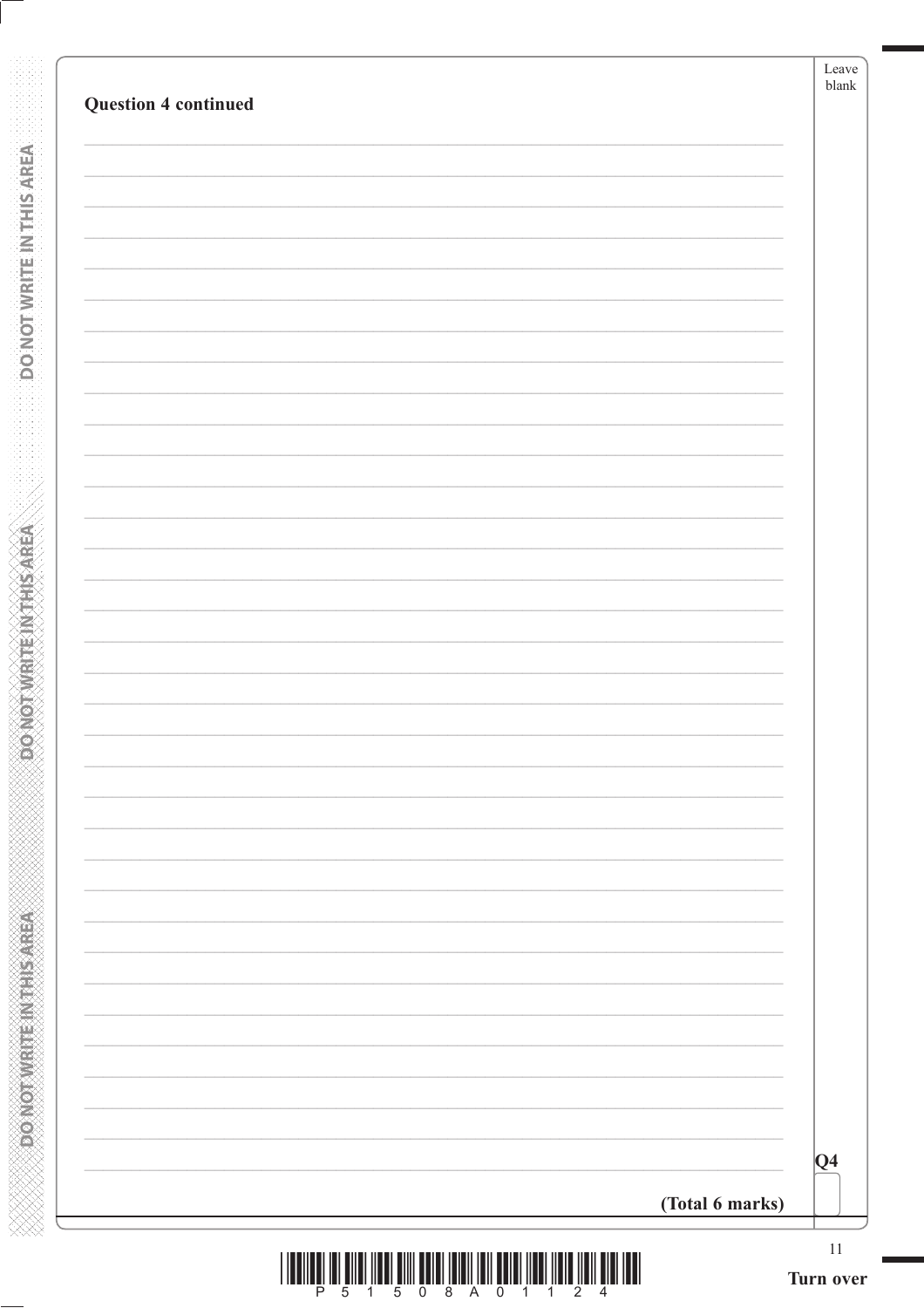| <b>Question 4 continued</b> |                 |         |
|-----------------------------|-----------------|---------|
|                             |                 |         |
|                             |                 |         |
|                             |                 |         |
|                             |                 |         |
|                             |                 |         |
|                             |                 |         |
|                             |                 |         |
|                             |                 |         |
|                             |                 |         |
|                             |                 |         |
|                             |                 |         |
|                             |                 |         |
|                             |                 |         |
|                             |                 |         |
|                             |                 |         |
|                             |                 |         |
|                             |                 |         |
|                             |                 |         |
|                             |                 |         |
|                             |                 |         |
|                             |                 | $ Q_4 $ |
|                             | (Total 6 marks) |         |

**DONOTWRITE INTHIS AREA** 

**ACTIVE SHEET METAL COVERS** 

**XXXXXXXXXXXXXXXXXXXXXXXXXXXXX**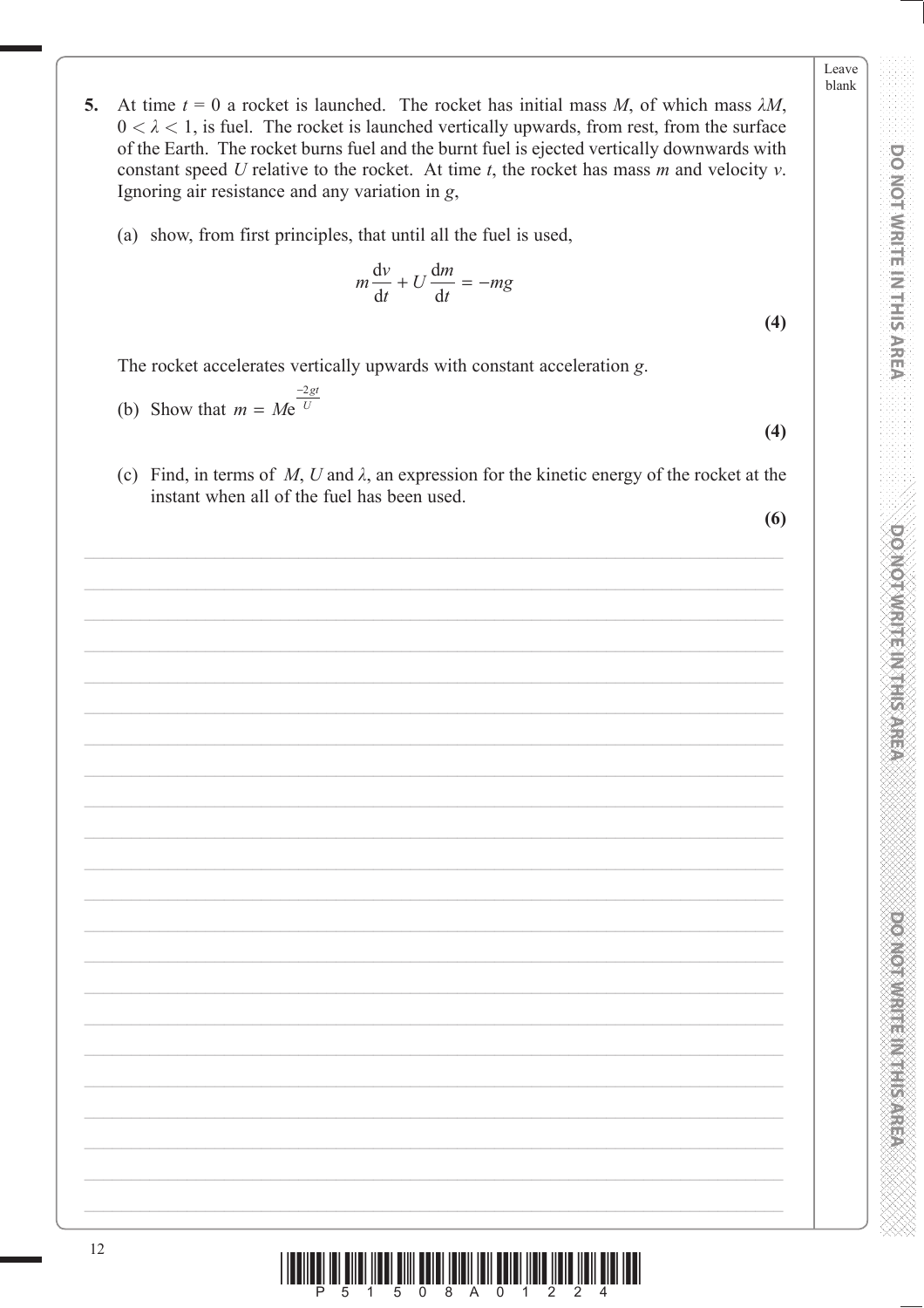DO NOT WRITE IN THIS AREA

DOMOTWRITE IN THIS AREA

**PONORA DE L'ANGELIA DE L'ANGELIA** 

- 5. At time  $t = 0$  a rocket is launched. The rocket has initial mass M, of which mass  $\lambda M$ ,  $0 < \lambda < 1$ , is fuel. The rocket is launched vertically upwards, from rest, from the surface of the Earth. The rocket burns fuel and the burnt fuel is ejected vertically downwards with constant speed  $U$  relative to the rocket. At time  $t$ , the rocket has mass  $m$  and velocity  $v$ . Ignoring air resistance and any variation in g,
	- (a) show, from first principles, that until all the fuel is used,

$$
m\frac{\mathrm{d}v}{\mathrm{d}t} + U\frac{\mathrm{d}m}{\mathrm{d}t} = -mg
$$

 $(4)$ 

The rocket accelerates vertically upwards with constant acceleration g.

(b) Show that 
$$
m = Me^{\frac{-2gt}{U}}
$$

(c) Find, in terms of M, U and  $\lambda$ , an expression for the kinetic energy of the rocket at the instant when all of the fuel has been used.

 $(6)$ 

 $(4)$ 

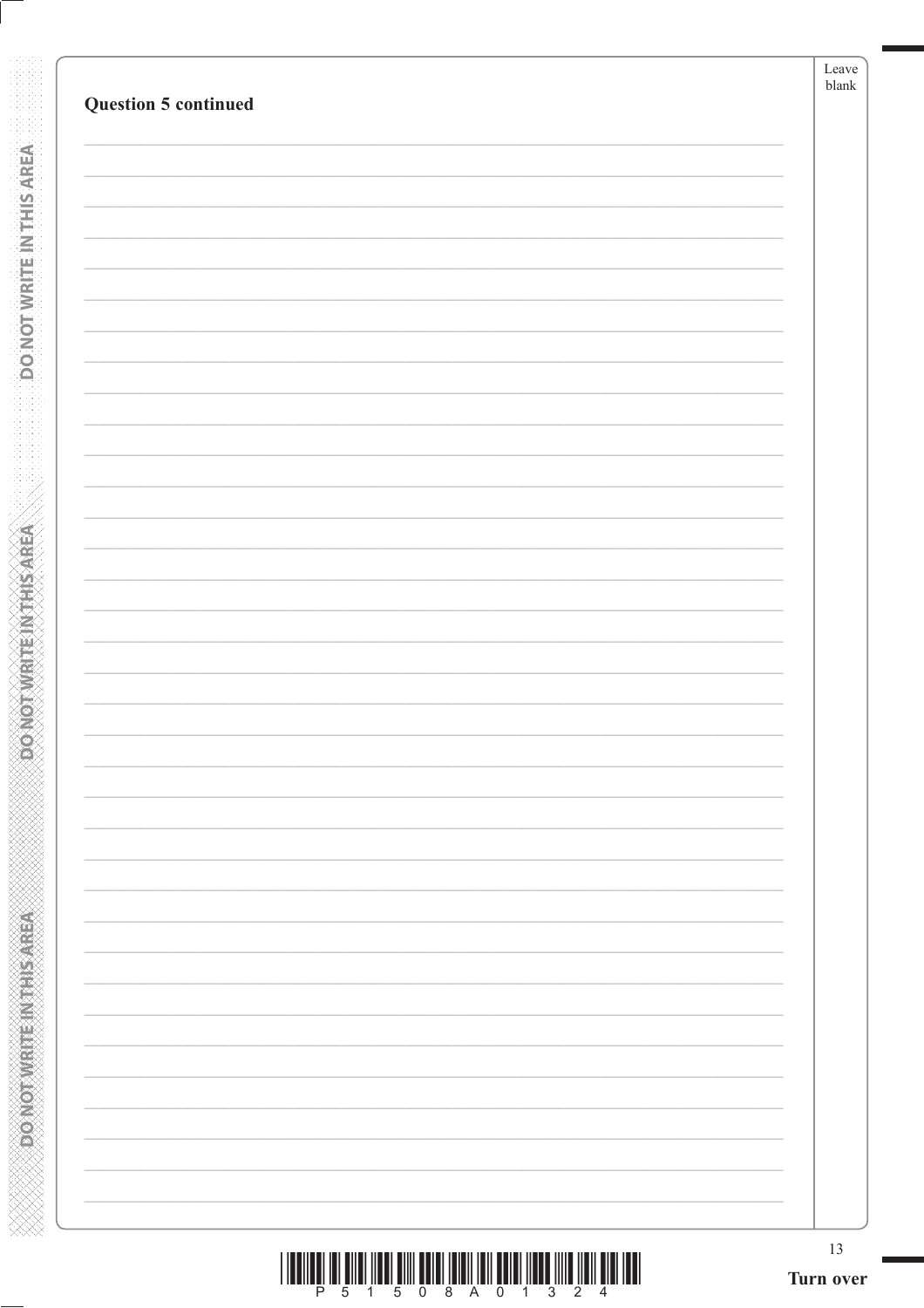| <b>Question 5 continued</b> |  |
|-----------------------------|--|
|                             |  |
|                             |  |
|                             |  |
|                             |  |
|                             |  |
|                             |  |
|                             |  |
|                             |  |
|                             |  |
|                             |  |
|                             |  |
|                             |  |
|                             |  |
|                             |  |
|                             |  |
|                             |  |
|                             |  |
|                             |  |
|                             |  |
|                             |  |
|                             |  |
|                             |  |
|                             |  |
|                             |  |
|                             |  |
|                             |  |
|                             |  |
|                             |  |

**DO NOT WRITE IN THIS AREA** 

**ABRASHMAN MANAGARY** 

| <u> I III DI LA BILI INDI DI LA BILI INDI LA BILI INDI INDI INDI INDI LA BILI INDI INDI INDI INDI INDI INDI INDI</u> |                         |  |  |  |  |  |  |
|----------------------------------------------------------------------------------------------------------------------|-------------------------|--|--|--|--|--|--|
|                                                                                                                      | P 5 1 5 0 8 A 0 1 3 2 4 |  |  |  |  |  |  |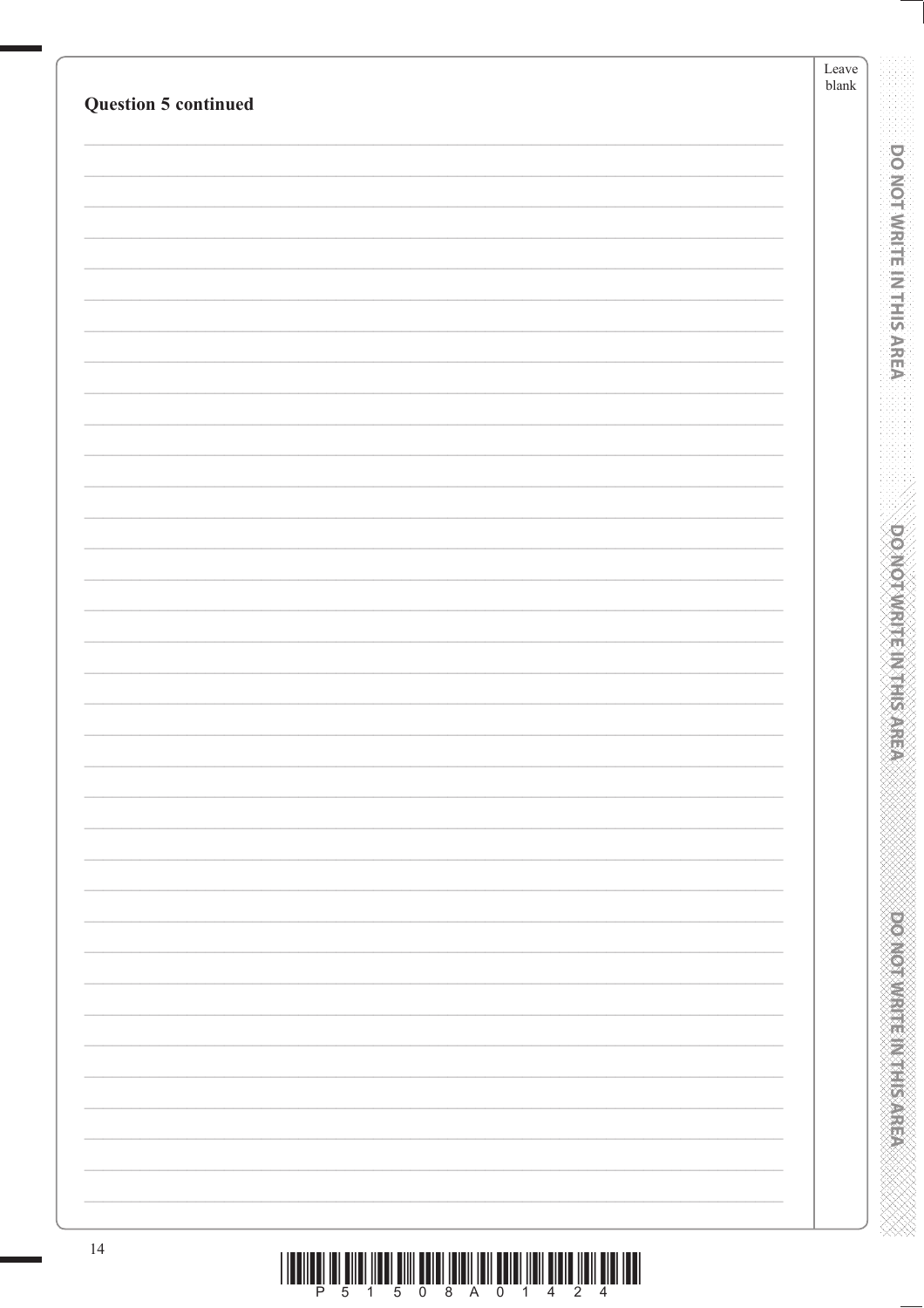| <b>Question 5 continued</b> | Leave<br>${\it blank}$                   |
|-----------------------------|------------------------------------------|
|                             |                                          |
|                             |                                          |
|                             | <b>DO NOT WRITE IN THIS AREA</b>         |
|                             |                                          |
|                             |                                          |
|                             |                                          |
|                             |                                          |
|                             |                                          |
|                             |                                          |
|                             |                                          |
|                             |                                          |
|                             |                                          |
|                             |                                          |
|                             |                                          |
|                             |                                          |
|                             | <b>DOMOTAME MARKS</b>                    |
|                             |                                          |
|                             |                                          |
|                             |                                          |
|                             |                                          |
|                             |                                          |
|                             |                                          |
|                             |                                          |
|                             |                                          |
|                             |                                          |
|                             |                                          |
|                             |                                          |
|                             |                                          |
|                             |                                          |
|                             | <b>PERSONAL PROPERTY AND INCOMESTING</b> |
|                             |                                          |
|                             |                                          |
|                             |                                          |
| 14                          |                                          |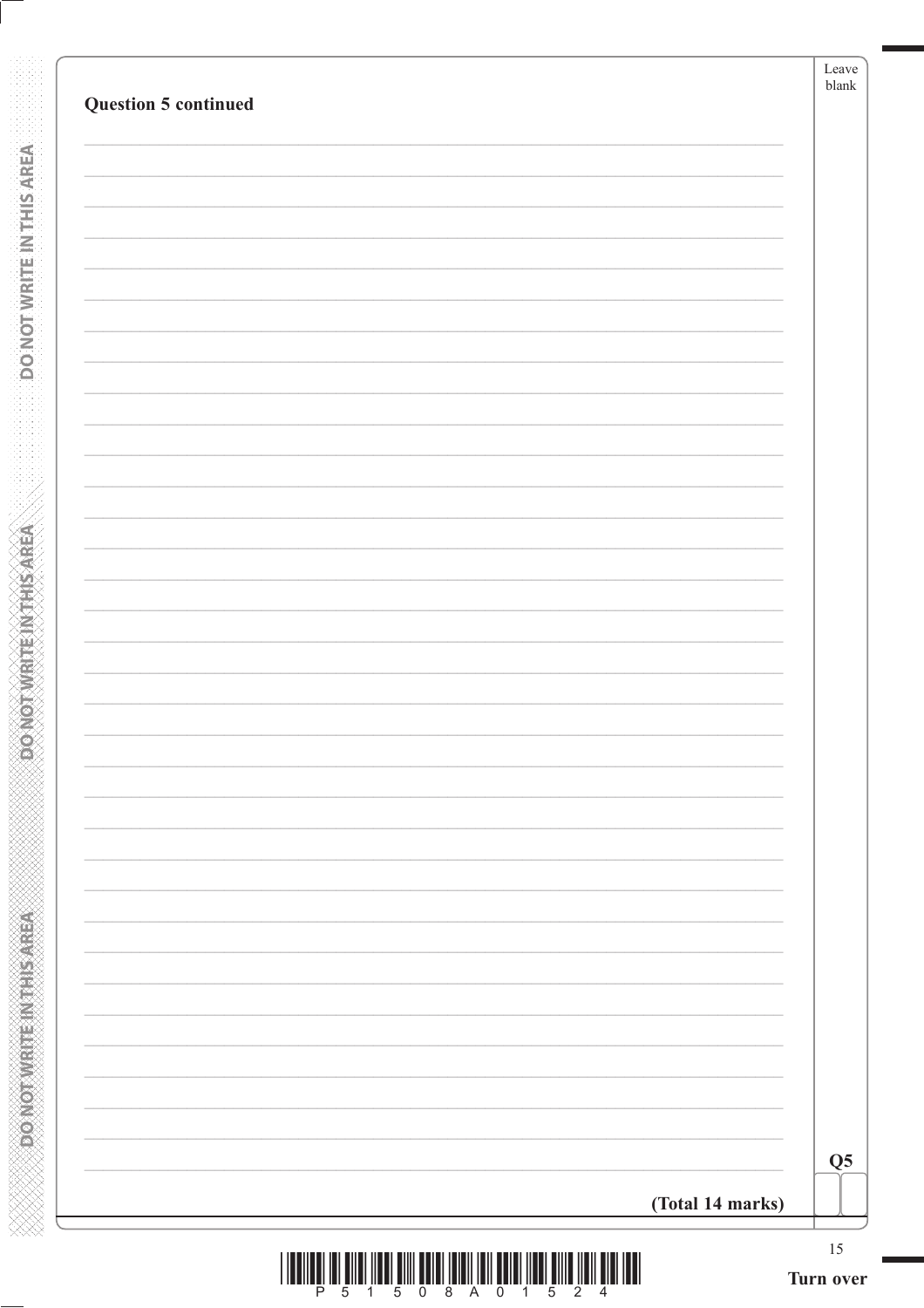| <b>Question 5 continued</b> |                  | Leave<br>blank |
|-----------------------------|------------------|----------------|
|                             |                  |                |
|                             |                  |                |
|                             |                  |                |
|                             |                  |                |
|                             |                  |                |
|                             |                  |                |
|                             |                  |                |
|                             |                  |                |
|                             |                  |                |
|                             |                  |                |
|                             |                  |                |
|                             |                  |                |
|                             |                  |                |
|                             |                  |                |
|                             |                  |                |
|                             |                  |                |
|                             |                  |                |
|                             |                  | Q <sub>5</sub> |
|                             | (Total 14 marks) |                |

**DONOTWRITEINTHISAREA** 

**CONOTIVIET CHANGED**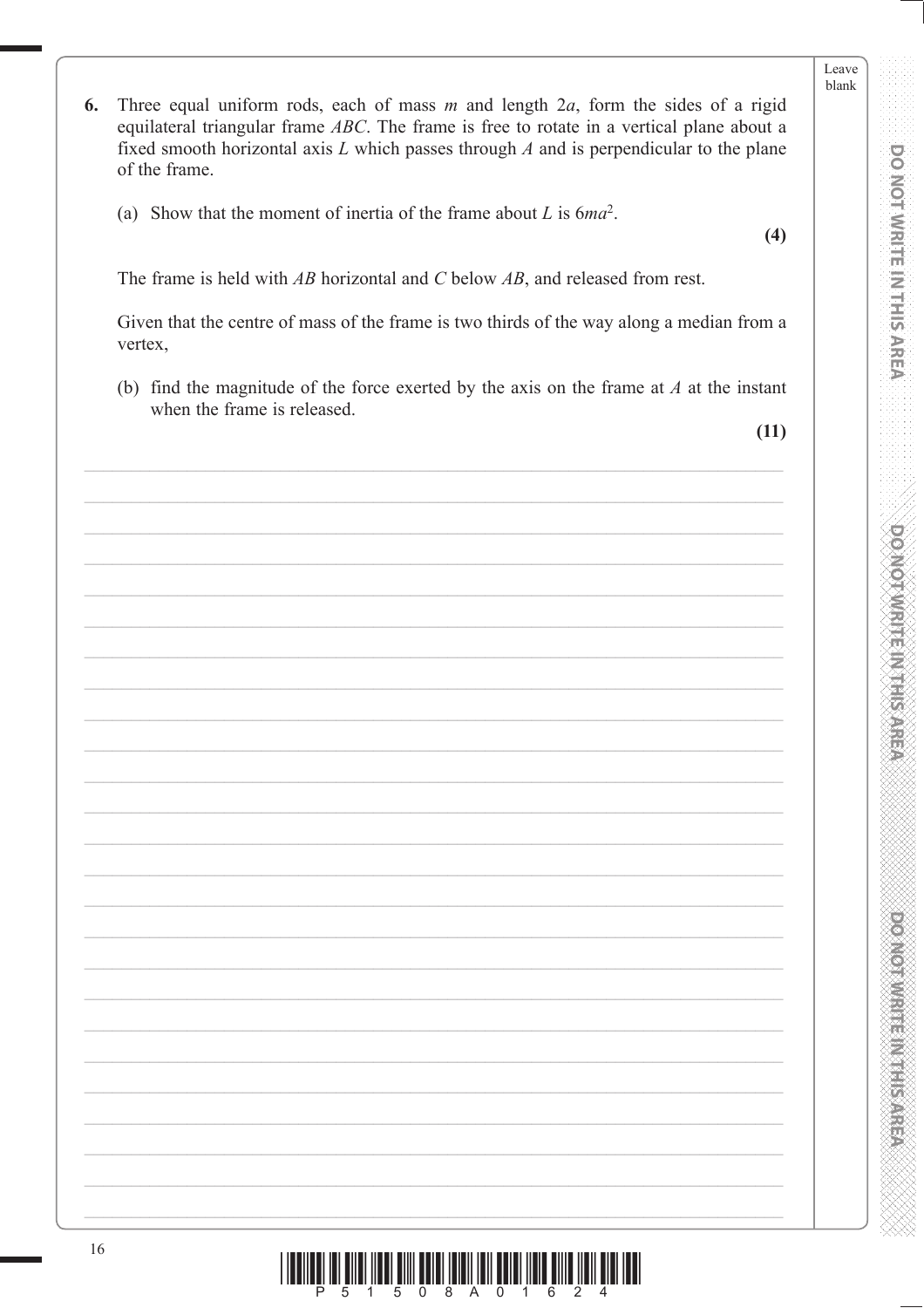**DOMOT/WRITEINTHIS/AREA** 

**PONORA DE L'ANGELIA DE L'ANGELIA** 

- 6. Three equal uniform rods, each of mass  $m$  and length  $2a$ , form the sides of a rigid equilateral triangular frame ABC. The frame is free to rotate in a vertical plane about a fixed smooth horizontal axis  $L$  which passes through  $A$  and is perpendicular to the plane of the frame.
	- (a) Show that the moment of inertia of the frame about L is  $6ma^2$ .

 $(4)$ 

The frame is held with  $AB$  horizontal and C below  $AB$ , and released from rest.

Given that the centre of mass of the frame is two thirds of the way along a median from a vertex,

(b) find the magnitude of the force exerted by the axis on the frame at  $A$  at the instant when the frame is released.

 $(11)$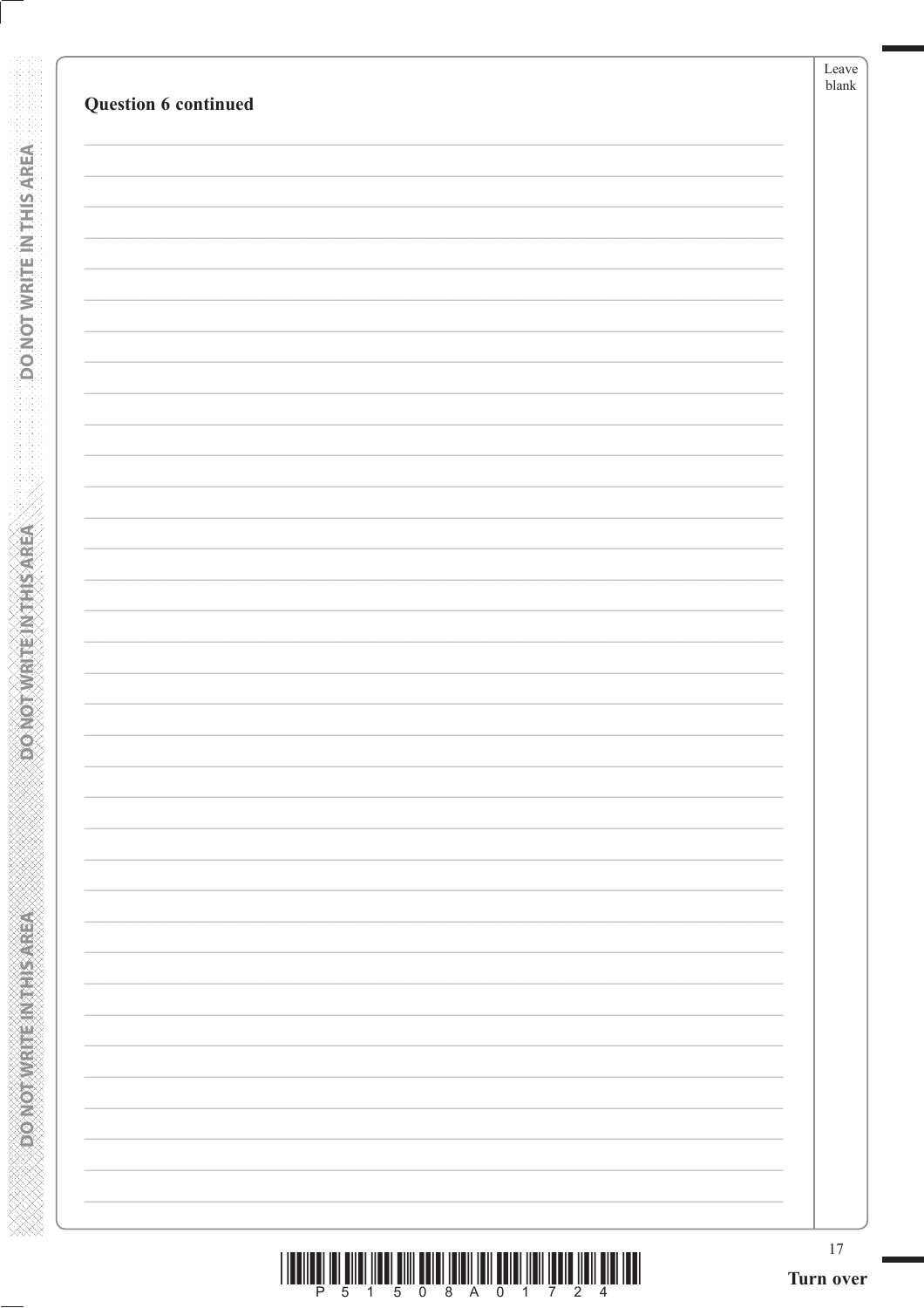|                      | Leave<br>$\ensuremath{\textrm{blank}}$ |
|----------------------|----------------------------------------|
| Question 6 continued |                                        |
|                      |                                        |
|                      |                                        |
|                      |                                        |
|                      |                                        |
|                      |                                        |
|                      |                                        |
|                      |                                        |
|                      |                                        |
|                      |                                        |
|                      |                                        |
|                      |                                        |
|                      |                                        |
|                      |                                        |
|                      |                                        |
|                      |                                        |
|                      |                                        |
|                      |                                        |
|                      |                                        |
|                      |                                        |
|                      |                                        |
|                      |                                        |
|                      |                                        |
|                      |                                        |
|                      |                                        |
|                      |                                        |
|                      |                                        |
|                      |                                        |
|                      |                                        |
|                      |                                        |
|                      |                                        |
|                      |                                        |
|                      |                                        |
|                      |                                        |
|                      |                                        |
|                      |                                        |
|                      |                                        |
|                      |                                        |

**DONOTWEITEINTHIS AREA** 

**DONOTWRITEINTHISAREA** 

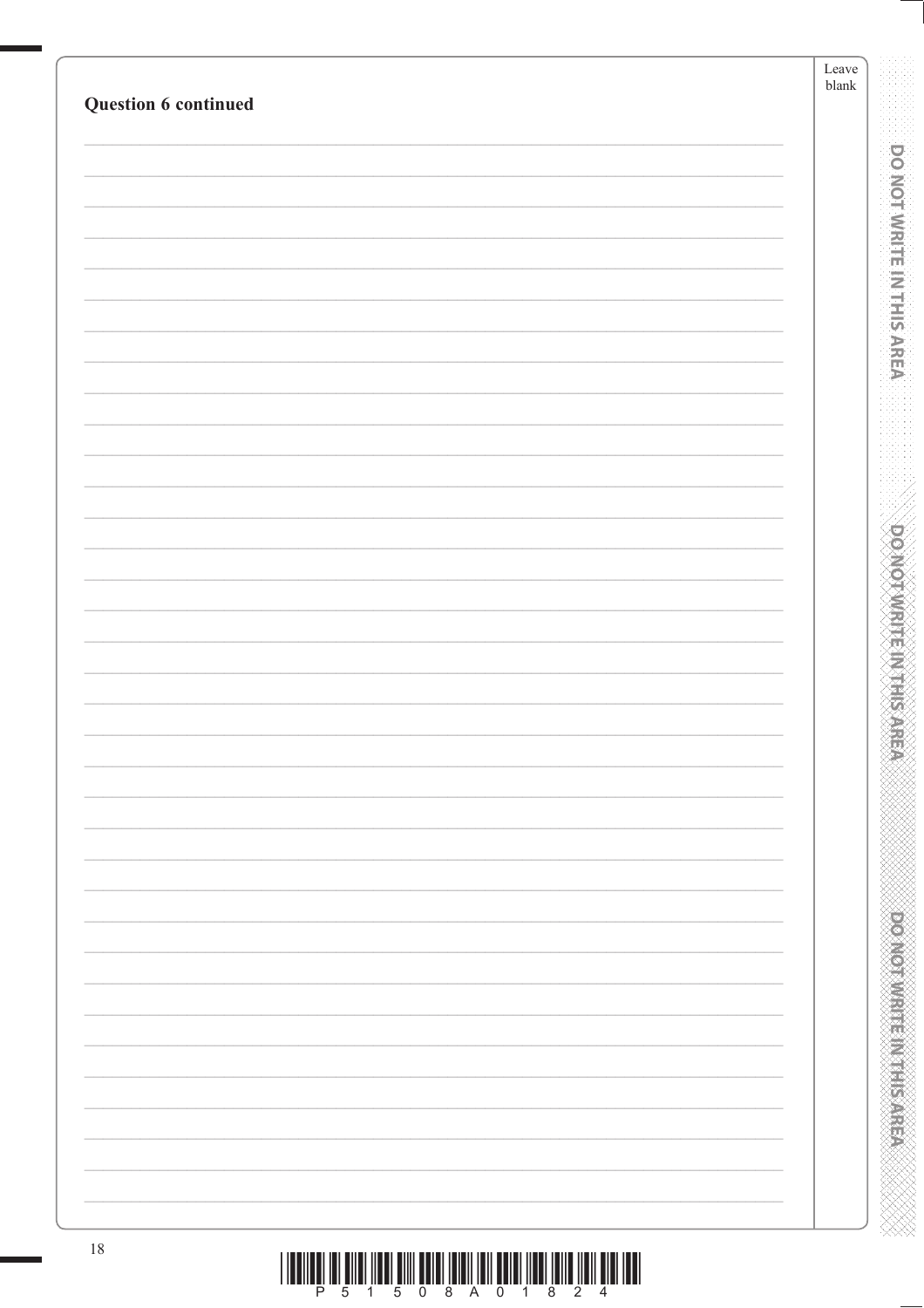| Question 6 continued                                                                                         | Leave<br>${\it blank}$ |                                          |
|--------------------------------------------------------------------------------------------------------------|------------------------|------------------------------------------|
|                                                                                                              |                        |                                          |
|                                                                                                              |                        | <b>DO NOT WRITE IN THIS AREA</b>         |
|                                                                                                              |                        |                                          |
|                                                                                                              |                        |                                          |
|                                                                                                              |                        |                                          |
|                                                                                                              |                        |                                          |
|                                                                                                              |                        |                                          |
|                                                                                                              |                        |                                          |
|                                                                                                              |                        |                                          |
|                                                                                                              |                        |                                          |
|                                                                                                              |                        |                                          |
|                                                                                                              |                        | <b>DO MOTWRITE INTHIS</b>                |
|                                                                                                              |                        |                                          |
|                                                                                                              |                        |                                          |
|                                                                                                              |                        |                                          |
|                                                                                                              |                        |                                          |
|                                                                                                              |                        |                                          |
|                                                                                                              |                        |                                          |
|                                                                                                              |                        |                                          |
|                                                                                                              |                        | <b>PERSONAL PROPERTY AND INCOMESTING</b> |
|                                                                                                              |                        |                                          |
|                                                                                                              |                        |                                          |
|                                                                                                              |                        |                                          |
| $18\,$<br><u>וה של השלוש המוזין שהושל השפה השלפות המוזין השלפו השלפות המוזין השפה השלוש השלב השפה השפה ה</u> |                        |                                          |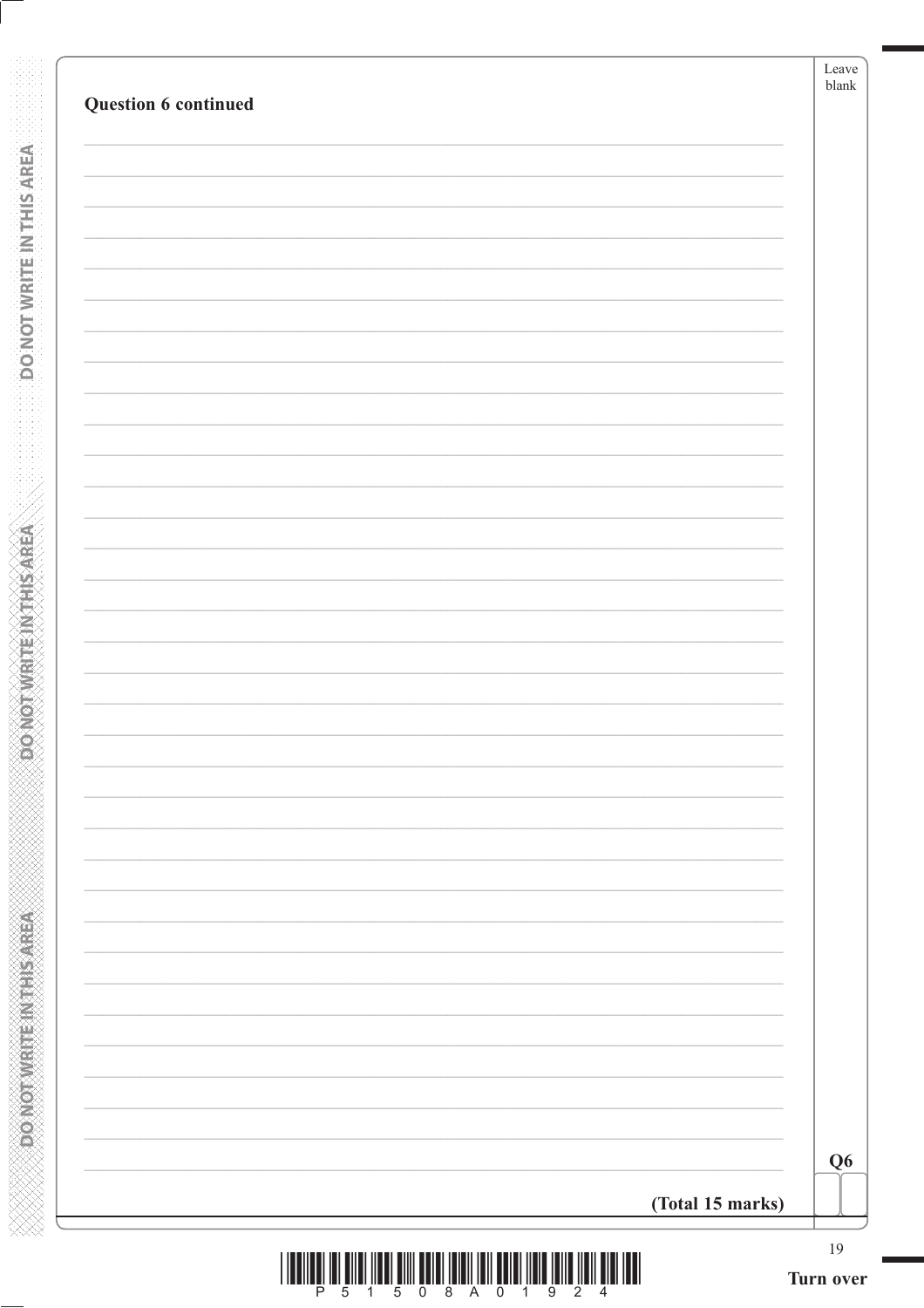| Question 6 continued |                  | Leave<br>blank |
|----------------------|------------------|----------------|
|                      |                  |                |
|                      |                  |                |
|                      |                  |                |
|                      |                  |                |
|                      |                  |                |
|                      |                  |                |
|                      |                  |                |
|                      |                  |                |
|                      |                  |                |
|                      |                  |                |
|                      |                  |                |
|                      |                  |                |
|                      |                  |                |
|                      |                  |                |
|                      |                  |                |
|                      |                  |                |
|                      |                  |                |
|                      |                  |                |
|                      |                  |                |
|                      |                  |                |
|                      |                  |                |
|                      |                  |                |
|                      |                  |                |
|                      |                  |                |
|                      |                  |                |
|                      |                  |                |
|                      |                  |                |
|                      |                  |                |
|                      |                  | Q <sub>6</sub> |
|                      | (Total 15 marks) |                |
|                      |                  | 19             |

**DONOTWRITEIN THIS AREA** 

**POONOT WIRTEIN THIS AREA** 

|  | ł<br>۰.<br>۰.<br>٠ |  |
|--|--------------------|--|
|  |                    |  |
|  |                    |  |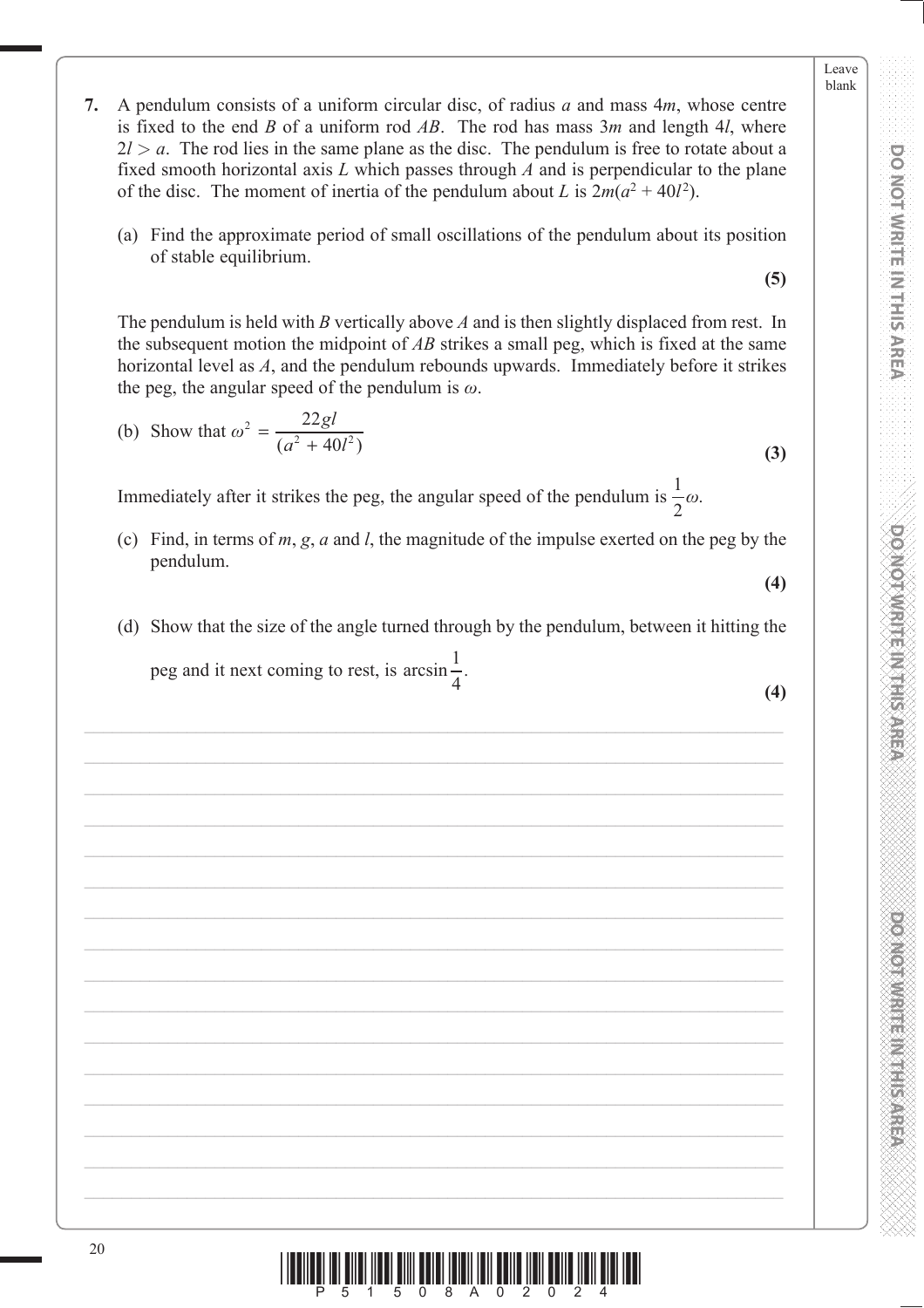DONOL WHILE IN THIS AREA

**DO MOTAMRITE IN THIS AREA** 

- **7.** A pendulum consists of a uniform circular disc, of radius *a* and mass 4*m*, whose centre is fixed to the end *B* of a uniform rod *AB*. The rod has mass 3*m* and length 4*l*, where  $2l > a$ . The rod lies in the same plane as the disc. The pendulum is free to rotate about a fixed smooth horizontal axis *L* which passes through *A* and is perpendicular to the plane of the disc. The moment of inertia of the pendulum about *L* is  $2m(a^2 + 40l^2)$ .
	- (a) Find the approximate period of small oscillations of the pendulum about its position of stable equilibrium.

**(5)**

The pendulum is held with *B* vertically above *A* and is then slightly displaced from rest. In the subsequent motion the midpoint of *AB* strikes a small peg, which is fixed at the same horizontal level as *A*, and the pendulum rebounds upwards. Immediately before it strikes the peg, the angular speed of the pendulum is  $\omega$ .

(b) Show that 
$$
\omega^2 = \frac{22gl}{(a^2 + 40l^2)}
$$
 (3)

Immediately after it strikes the peg, the angular speed of the pendulum is  $\frac{1}{2}\omega$ .

- (c) Find, in terms of *m*, *g*, *a* and *l*, the magnitude of the impulse exerted on the peg by the pendulum.
- (d) Show that the size of the angle turned through by the pendulum, between it hitting the peg and it next coming to rest, is arcsin $\frac{1}{4}$ .  $\frac{4}{4}$  (4)

**(4)**

**PONOT WRITE IN THIS AREA DO NOT WRITE IN THIS AREA DO NOT WRITE IN THIS AREA DO NOT WRITE IN THIS AREA DO NOT W PONONNIA E NEEDS EXPERI** 

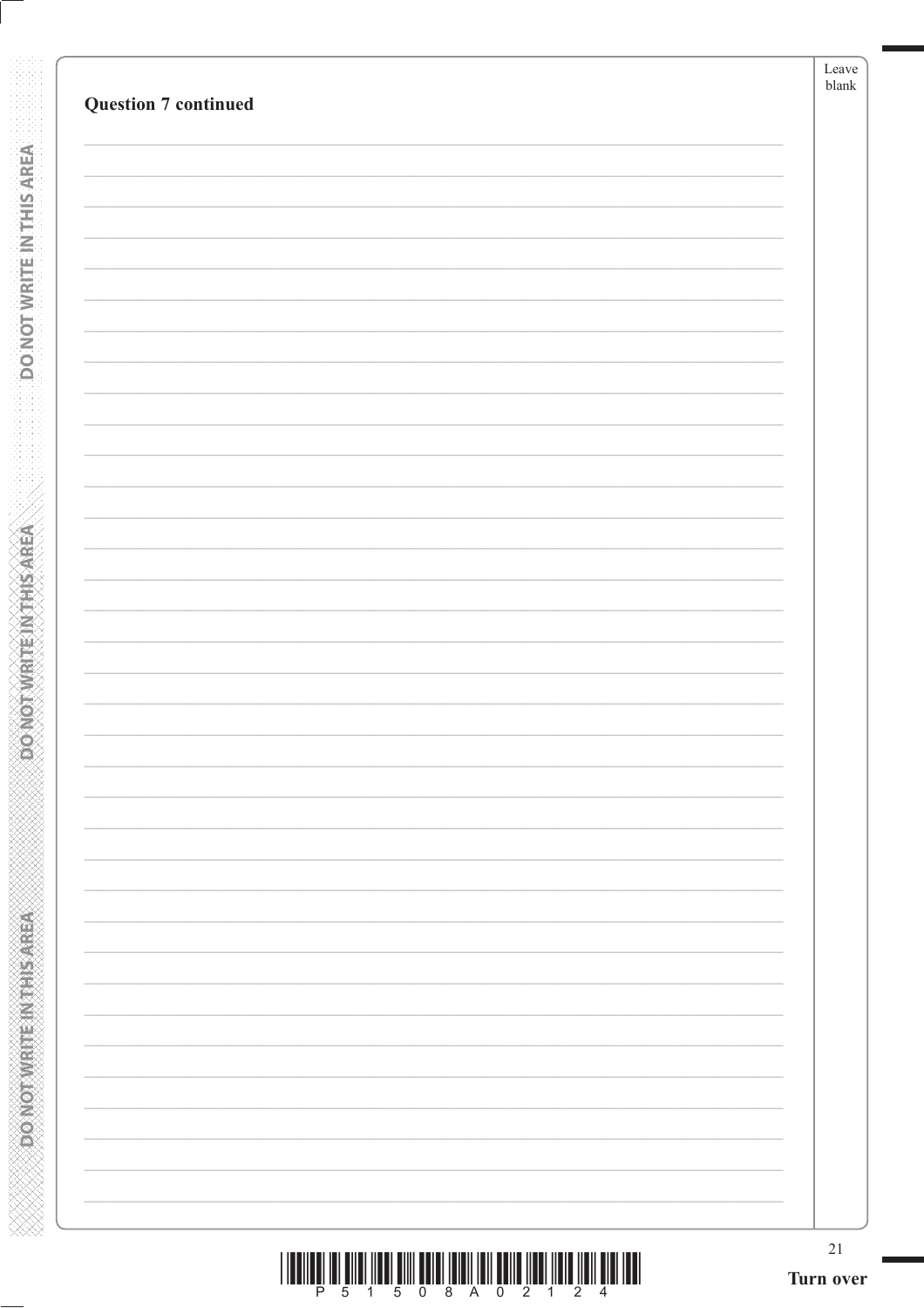| <b>Question 7 continued</b> |                          |  |
|-----------------------------|--------------------------|--|
|                             |                          |  |
|                             |                          |  |
|                             |                          |  |
|                             |                          |  |
|                             |                          |  |
|                             |                          |  |
|                             |                          |  |
|                             |                          |  |
|                             |                          |  |
|                             |                          |  |
|                             |                          |  |
|                             |                          |  |
|                             |                          |  |
|                             |                          |  |
|                             |                          |  |
|                             |                          |  |
|                             |                          |  |
|                             |                          |  |
|                             | $\overline{\phantom{0}}$ |  |
|                             |                          |  |
|                             | $\overline{\phantom{0}}$ |  |
|                             |                          |  |
|                             |                          |  |
|                             | -                        |  |
|                             |                          |  |
|                             | $\overline{\phantom{0}}$ |  |
|                             | $\overline{\phantom{0}}$ |  |
|                             |                          |  |

**DO NOT WRITE IN THIS AREA** 

**ODD NOTWATE INTHIS AREA**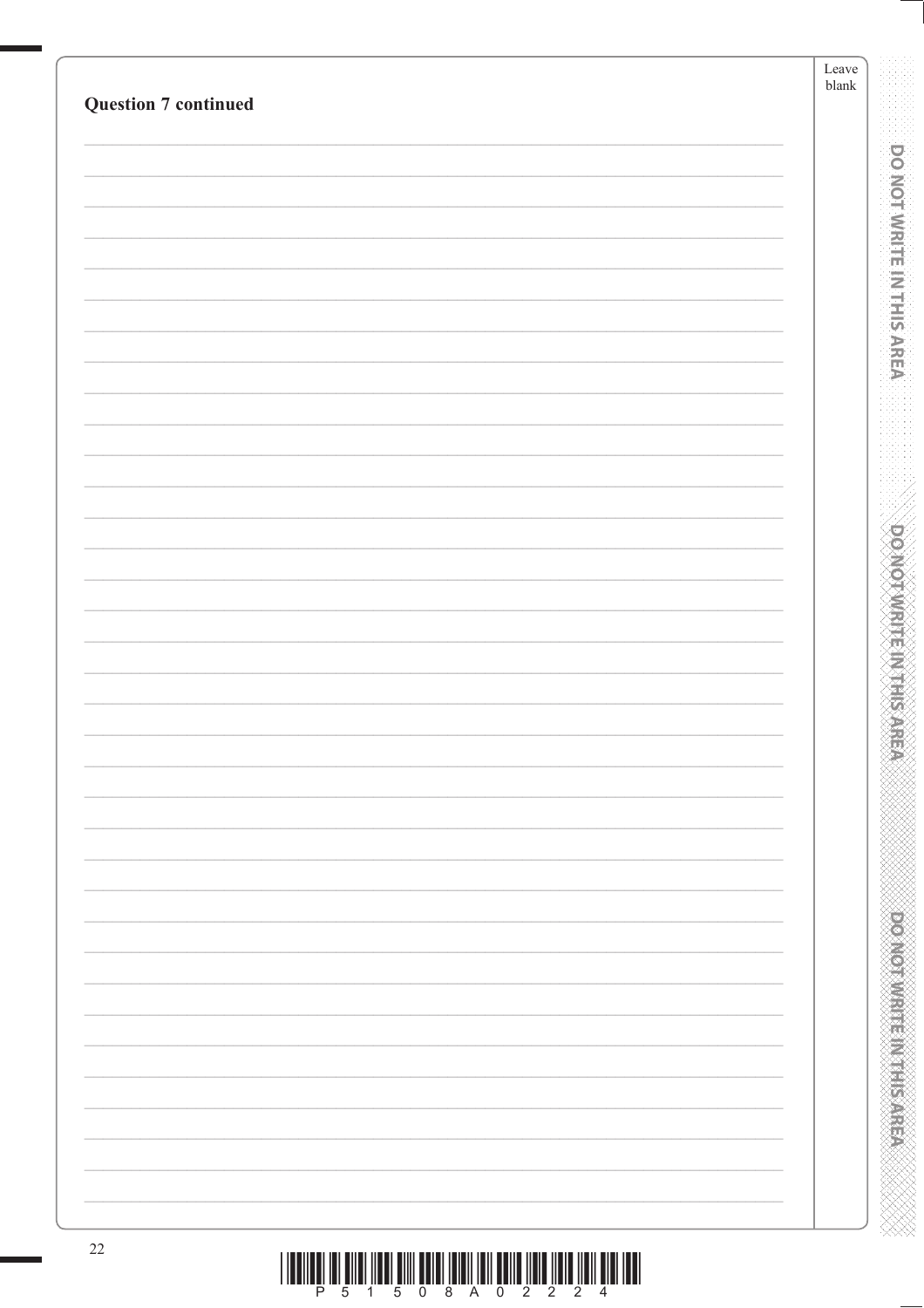| <b>Question 7 continued</b> | Leave<br>$\ensuremath{\mathit{blank}}$ |                                         |
|-----------------------------|----------------------------------------|-----------------------------------------|
|                             |                                        |                                         |
|                             |                                        | <b>DO NOT WRITE IN THIS AREA</b>        |
|                             |                                        |                                         |
|                             |                                        |                                         |
|                             |                                        |                                         |
|                             |                                        |                                         |
|                             |                                        |                                         |
|                             |                                        |                                         |
|                             |                                        |                                         |
|                             |                                        |                                         |
|                             |                                        |                                         |
|                             |                                        | <b>DOMOTAMENT MARKS</b>                 |
|                             |                                        |                                         |
|                             |                                        |                                         |
|                             |                                        |                                         |
|                             |                                        |                                         |
|                             |                                        |                                         |
|                             |                                        |                                         |
|                             |                                        |                                         |
|                             |                                        |                                         |
|                             |                                        |                                         |
|                             |                                        |                                         |
|                             |                                        |                                         |
|                             |                                        |                                         |
|                             |                                        |                                         |
|                             |                                        | <b>PERSONAL PROPERTY AND INCOMESTED</b> |
|                             |                                        |                                         |
|                             |                                        |                                         |
|                             |                                        |                                         |
| $22\,$                      |                                        |                                         |

 $\begin{array}{c} \text{if} \ \text{if} \ \text{if} \ \text{if} \ \text{if} \ \text{if} \ \text{if} \ \text{if} \ \text{if} \ \text{if} \ \text{if} \ \text{if} \ \text{if} \ \text{if} \ \text{if} \ \text{if} \ \text{if} \ \text{if} \ \text{if} \ \text{if} \ \text{if} \ \text{if} \ \text{if} \ \text{if} \ \text{if} \ \text{if} \ \text{if} \ \text{if} \ \text{if} \ \text{if} \ \text{if} \ \text{if} \ \text{if} \ \text{if} \ \text{if} \ \text{$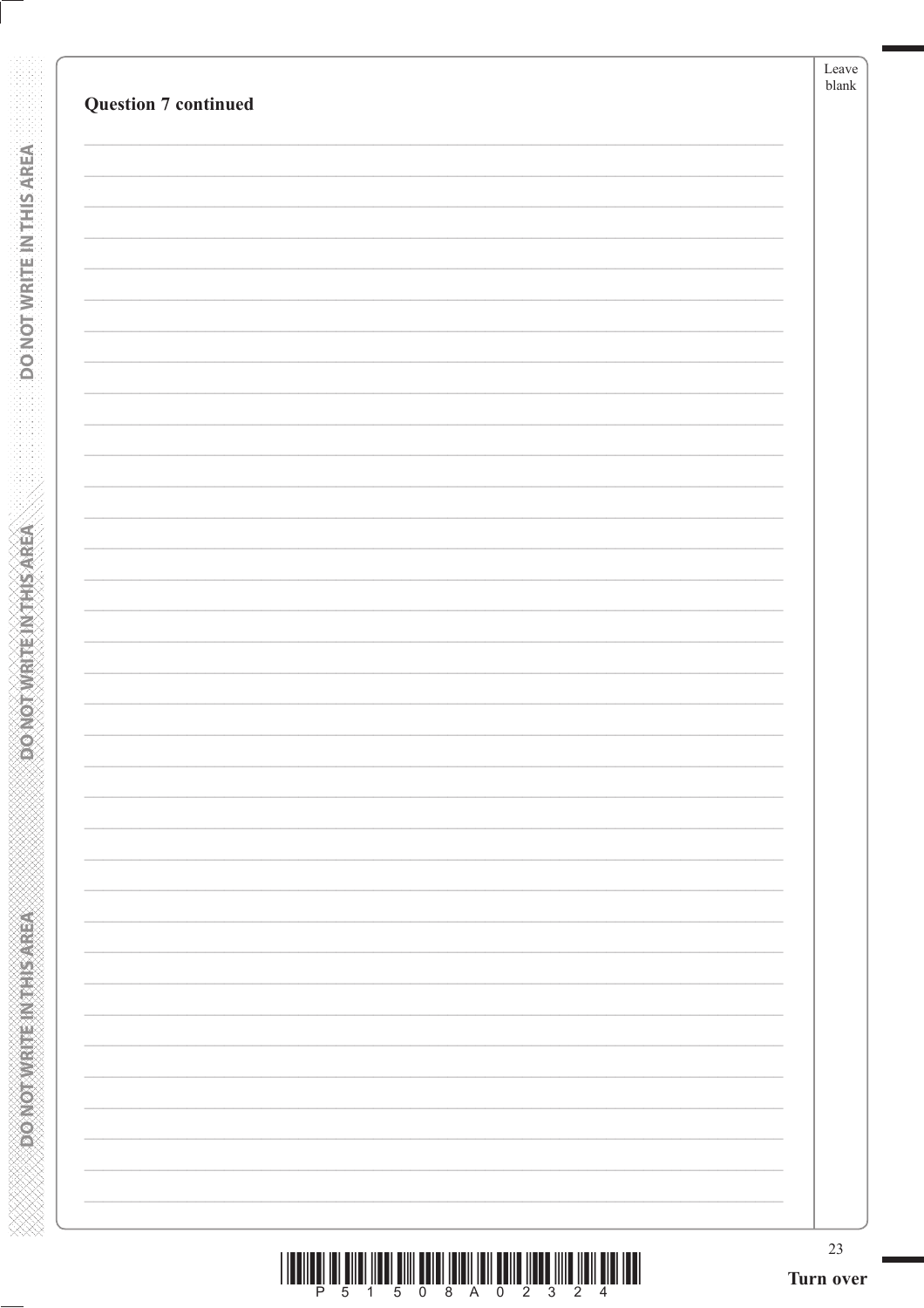| $\overline{\phantom{0}}$ |  |
|--------------------------|--|
|                          |  |
|                          |  |
|                          |  |
|                          |  |
|                          |  |
| $\overline{\phantom{0}}$ |  |
|                          |  |
|                          |  |
| $\overline{\phantom{0}}$ |  |
|                          |  |

**DO NOT WRITE INTERSAREA** 

ABRASH IN MARK ON GRAM

| P 5 1 5 0 8 A 0 2 3 2 4 |  |  |  |  |  |  |
|-------------------------|--|--|--|--|--|--|